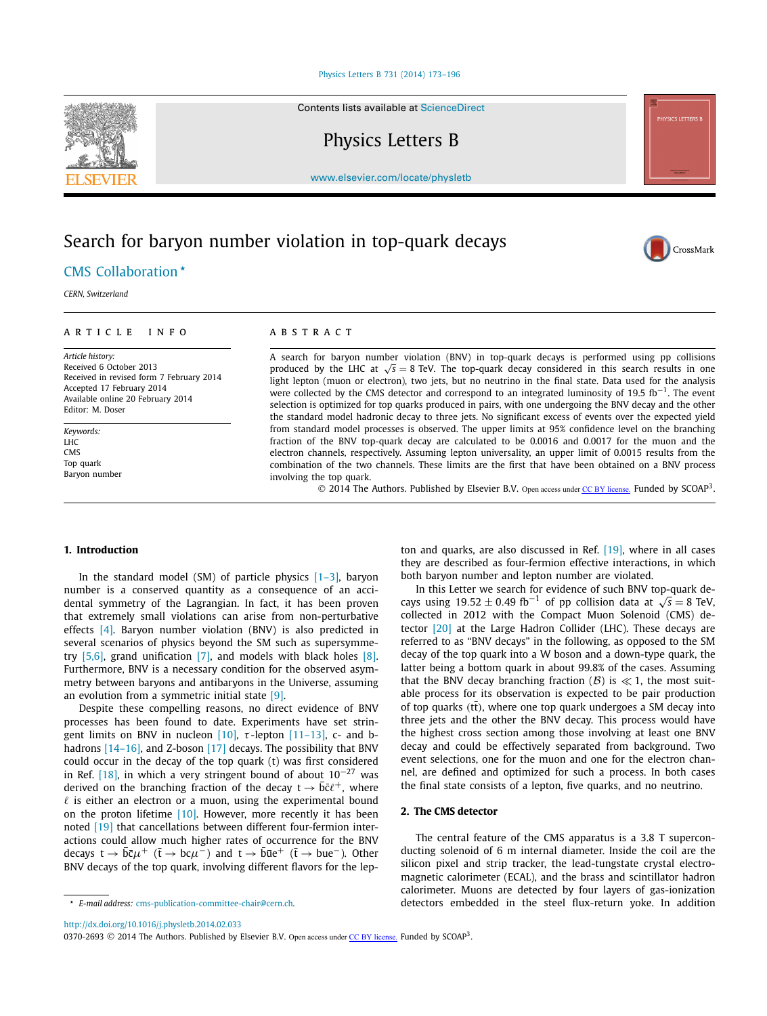#### [Physics Letters B 731 \(2014\) 173–196](http://dx.doi.org/10.1016/j.physletb.2014.02.033)

Contents lists available at [ScienceDirect](http://www.ScienceDirect.com/)

Physics Letters B

[www.elsevier.com/locate/physletb](http://www.elsevier.com/locate/physletb)

# Search for baryon number violation in top-quark decays

# [.CMS Collaboration](#page-9-0) *-*

*CERN, Switzerland*

#### ARTICLE INFO ABSTRACT

*Article history:* Received 6 October 2013 Received in revised form 7 February 2014 Accepted 17 February 2014 Available online 20 February 2014 Editor: M. Doser

*Keywords:* LHC CMS Top quark Baryon number

A search for baryon number violation (BNV) in top-quark decays is performed using pp collisions produced by the LHC at  $\sqrt{s} = 8$  TeV. The top-quark decay considered in this search results in one light lepton (muon or electron), two jets, but no neutrino in the final state. Data used for the analysis were collected by the CMS detector and correspond to an integrated luminosity of 19.5 fb<sup>-1</sup>. The event selection is optimized for top quarks produced in pairs, with one undergoing the BNV decay and the other the standard model hadronic decay to three jets. No significant excess of events over the expected yield from standard model processes is observed. The upper limits at 95% confidence level on the branching fraction of the BNV top-quark decay are calculated to be 0.0016 and 0.0017 for the muon and the electron channels, respectively. Assuming lepton universality, an upper limit of 0.0015 results from the combination of the two channels. These limits are the first that have been obtained on a BNV process involving the top quark.

© 2014 The Authors. Published by Elsevier B.V. Open access under [CC BY license.](http://creativecommons.org/licenses/by/3.0/) Funded by SCOAP<sup>3</sup>.

#### **1. Introduction**

In the standard model (SM) of particle physics  $[1-3]$ , baryon number is a conserved quantity as a consequence of an accidental symmetry of the Lagrangian. In fact, it has been proven that extremely small violations can arise from non-perturbative effects [\[4\].](#page-8-0) Baryon number violation (BNV) is also predicted in several scenarios of physics beyond the SM such as supersymmetry [\[5,6\],](#page-8-0) grand unification [\[7\],](#page-8-0) and models with black holes [\[8\].](#page-8-0) Furthermore, BNV is a necessary condition for the observed asymmetry between baryons and antibaryons in the Universe, assuming an evolution from a symmetric initial state  $[9]$ .

Despite these compelling reasons, no direct evidence of BNV processes has been found to date. Experiments have set stringent limits on BNV in nucleon  $[10]$ ,  $\tau$ -lepton  $[11-13]$ , c- and b-hadrons [\[14–16\],](#page-8-0) and Z-boson [\[17\]](#page-8-0) decays. The possibility that BNV could occur in the decay of the top quark (t) was first considered in Ref. [\[18\],](#page-8-0) in which a very stringent bound of about  $10^{-27}$  was derived on the branching fraction of the decay  $t \rightarrow \bar{b}c\ell^{+}$ , where  $\ell$  is either an electron or a muon, using the experimental bound on the proton lifetime [\[10\].](#page-8-0) However, more recently it has been noted [\[19\]](#page-8-0) that cancellations between different four-fermion interactions could allow much higher rates of occurrence for the BNV decays  $t \to b\bar{c}\mu^+$  ( $\bar{t} \to b c\mu^-$ ) and  $t \to \bar{b}\bar{u}e^+$  ( $\bar{t} \to b u e^-$ ). Other BNV decays of the top quark, involving different flavors for the lepton and quarks, are also discussed in Ref. [\[19\],](#page-8-0) where in all cases they are described as four-fermion effective interactions, in which both baryon number and lepton number are violated.

In this Letter we search for evidence of such BNV top-quark decays using  $19.52 \pm 0.49$  fb<sup>-1</sup> of pp collision data at  $\sqrt{s} = 8$  TeV, collected in 2012 with the Compact Muon Solenoid (CMS) detector [\[20\]](#page-8-0) at the Large Hadron Collider (LHC). These decays are referred to as "BNV decays" in the following, as opposed to the SM decay of the top quark into a W boson and a down-type quark, the latter being a bottom quark in about 99.8% of the cases. Assuming that the BNV decay branching fraction ( $\beta$ ) is  $\ll 1$ , the most suitable process for its observation is expected to be pair production of top quarks (tt), where one top quark undergoes a SM decay into three jets and the other the BNV decay. This process would have the highest cross section among those involving at least one BNV decay and could be effectively separated from background. Two event selections, one for the muon and one for the electron channel, are defined and optimized for such a process. In both cases the final state consists of a lepton, five quarks, and no neutrino.

#### **2. The CMS detector**

The central feature of the CMS apparatus is a 3.8 T superconducting solenoid of 6 m internal diameter. Inside the coil are the silicon pixel and strip tracker, the lead-tungstate crystal electromagnetic calorimeter (ECAL), and the brass and scintillator hadron calorimeter. Muons are detected by four layers of gas-ionization detectors embedded in the steel flux-return yoke. In addition





CrossMark

*<sup>-</sup> E-mail address:* [cms-publication-committee-chair@cern.ch](mailto:cms-publication-committee-chair@cern.ch).

<sup>0370-2693 © 2014</sup> The Authors. Published by Elsevier B.V. Open access under [CC BY license.](http://creativecommons.org/licenses/by/3.0/) Funded by SCOAP<sup>3</sup>.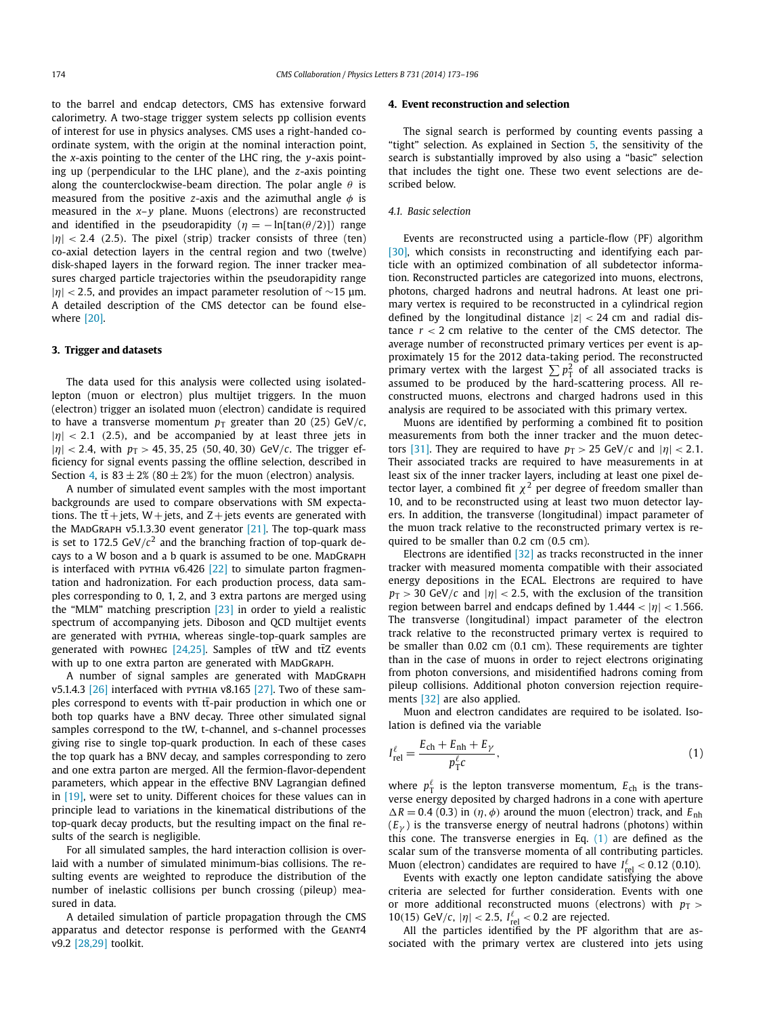to the barrel and endcap detectors, CMS has extensive forward calorimetry. A two-stage trigger system selects pp collision events of interest for use in physics analyses. CMS uses a right-handed coordinate system, with the origin at the nominal interaction point, the *x*-axis pointing to the center of the LHC ring, the *y*-axis pointing up (perpendicular to the LHC plane), and the *z*-axis pointing along the counterclockwise-beam direction. The polar angle *θ* is measured from the positive *z*-axis and the azimuthal angle *φ* is measured in the *x*–*y* plane. Muons (electrons) are reconstructed and identified in the pseudorapidity  $(\eta = -\ln[\tan(\theta/2)])$  range  $|n| < 2.4$  (2.5). The pixel (strip) tracker consists of three (ten) co-axial detection layers in the central region and two (twelve) disk-shaped layers in the forward region. The inner tracker measures charged particle trajectories within the pseudorapidity range |*η*| *<* <sup>2</sup>*.*5, and provides an impact parameter resolution of ∼15 μm. A detailed description of the CMS detector can be found elsewhere [\[20\].](#page-8-0)

#### **3. Trigger and datasets**

The data used for this analysis were collected using isolatedlepton (muon or electron) plus multijet triggers. In the muon (electron) trigger an isolated muon (electron) candidate is required to have a transverse momentum  $p_T$  greater than 20 (25) GeV/*c*,  $|\eta|$  < 2.1 (2.5), and be accompanied by at least three jets in |*η*| *<* <sup>2</sup>*.*4, with *<sup>p</sup>*<sup>T</sup> *>* <sup>45</sup>*,* <sup>35</sup>*,* <sup>25</sup> *(*50*,* <sup>40</sup>*,* <sup>30</sup>*)* GeV*/c*. The trigger efficiency for signal events passing the offline selection, described in Section 4, is  $83 \pm 2\%$  ( $80 \pm 2\%$ ) for the muon (electron) analysis.

A number of simulated event samples with the most important backgrounds are used to compare observations with SM expectations. The  $t\bar{t}$  + jets, W + jets, and Z + jets events are generated with the MADGRAPH v5.1.3.30 event generator  $[21]$ . The top-quark mass is set to 172.5 GeV/ $c^2$  and the branching fraction of top-quark decays to a W boson and a b quark is assumed to be one. MADGRAPH is interfaced with pythia v6.426  $[22]$  to simulate parton fragmentation and hadronization. For each production process, data samples corresponding to 0, 1, 2, and 3 extra partons are merged using the "MLM" matching prescription [\[23\]](#page-8-0) in order to yield a realistic spectrum of accompanying jets. Diboson and QCD multijet events are generated with PYTHIA, whereas single-top-quark samples are generated with powhec [\[24,25\].](#page-8-0) Samples of  $t\bar{t}W$  and  $t\bar{t}Z$  events with up to one extra parton are generated with MADGRAPH.

A number of signal samples are generated with MADGRAPH v5.1.4.3  $[26]$  interfaced with PYTHIA v8.165  $[27]$ . Two of these samples correspond to events with  $t\bar{t}$ -pair production in which one or both top quarks have a BNV decay. Three other simulated signal samples correspond to the tW, t-channel, and s-channel processes giving rise to single top-quark production. In each of these cases the top quark has a BNV decay, and samples corresponding to zero and one extra parton are merged. All the fermion-flavor-dependent parameters, which appear in the effective BNV Lagrangian defined in [\[19\],](#page-8-0) were set to unity. Different choices for these values can in principle lead to variations in the kinematical distributions of the top-quark decay products, but the resulting impact on the final results of the search is negligible.

For all simulated samples, the hard interaction collision is overlaid with a number of simulated minimum-bias collisions. The resulting events are weighted to reproduce the distribution of the number of inelastic collisions per bunch crossing (pileup) measured in data.

A detailed simulation of particle propagation through the CMS apparatus and detector response is performed with the Geant4 v9.2 [\[28,29\]](#page-8-0) toolkit.

#### **4. Event reconstruction and selection**

The signal search is performed by counting events passing a "tight" selection. As explained in Section [5,](#page-2-0) the sensitivity of the search is substantially improved by also using a "basic" selection that includes the tight one. These two event selections are described below.

#### *4.1. Basic selection*

Events are reconstructed using a particle-flow (PF) algorithm [\[30\],](#page-9-0) which consists in reconstructing and identifying each particle with an optimized combination of all subdetector information. Reconstructed particles are categorized into muons, electrons, photons, charged hadrons and neutral hadrons. At least one primary vertex is required to be reconstructed in a cylindrical region defined by the longitudinal distance  $|z| < 24$  cm and radial distance  $r < 2$  cm relative to the center of the CMS detector. The average number of reconstructed primary vertices per event is approximately 15 for the 2012 data-taking period. The reconstructed primary vertex with the largest  $\sum p_{\rm T}^2$  of all associated tracks is assumed to be produced by the hard-scattering process. All reconstructed muons, electrons and charged hadrons used in this analysis are required to be associated with this primary vertex.

Muons are identified by performing a combined fit to position measurements from both the inner tracker and the muon detec-tors [\[31\].](#page-9-0) They are required to have  $p_T > 25$  GeV/*c* and  $|\eta| < 2.1$ . Their associated tracks are required to have measurements in at least six of the inner tracker layers, including at least one pixel detector layer, a combined fit  $\chi^2$  per degree of freedom smaller than 10, and to be reconstructed using at least two muon detector layers. In addition, the transverse (longitudinal) impact parameter of the muon track relative to the reconstructed primary vertex is required to be smaller than 0.2 cm (0.5 cm).

Electrons are identified [\[32\]](#page-9-0) as tracks reconstructed in the inner tracker with measured momenta compatible with their associated energy depositions in the ECAL. Electrons are required to have  $p_T$  *>* 30 GeV/*c* and  $|\eta|$  *<* 2*.*5, with the exclusion of the transition region between barrel and endcaps defined by  $1.444 < |\eta| < 1.566$ . The transverse (longitudinal) impact parameter of the electron track relative to the reconstructed primary vertex is required to be smaller than 0.02 cm (0.1 cm). These requirements are tighter than in the case of muons in order to reject electrons originating from photon conversions, and misidentified hadrons coming from pileup collisions. Additional photon conversion rejection requirements [\[32\]](#page-9-0) are also applied.

Muon and electron candidates are required to be isolated. Isolation is defined via the variable

$$
I_{\rm rel}^{\ell} = \frac{E_{\rm ch} + E_{\rm nh} + E_{\gamma}}{p_{\rm T}^{\ell} c},\tag{1}
$$

where  $p_{\text{T}}^{\ell}$  is the lepton transverse momentum,  $E_{\text{ch}}$  is the transverse energy deposited by charged hadrons in a cone with aperture  $\Delta R = 0.4$  (0.3) in  $(\eta, \phi)$  around the muon (electron) track, and *E*<sub>nh</sub>  $(E<sub>V</sub>)$  is the transverse energy of neutral hadrons (photons) within this cone. The transverse energies in Eq.  $(1)$  are defined as the scalar sum of the transverse momenta of all contributing particles. Muon (electron) candidates are required to have  $I_{rel}^{\ell}$  < 0.12 (0.10).

Events with exactly one lepton candidate satisfying the above criteria are selected for further consideration. Events with one or more additional reconstructed muons (electrons) with  $p_T >$ 10(15) GeV/*c*,  $|\eta| < 2.5$ ,  $I_{\text{rel}}^{\ell} < 0.2$  are rejected.<br>All the particles identified by the PF algorithm that are as-

sociated with the primary vertex are clustered into jets using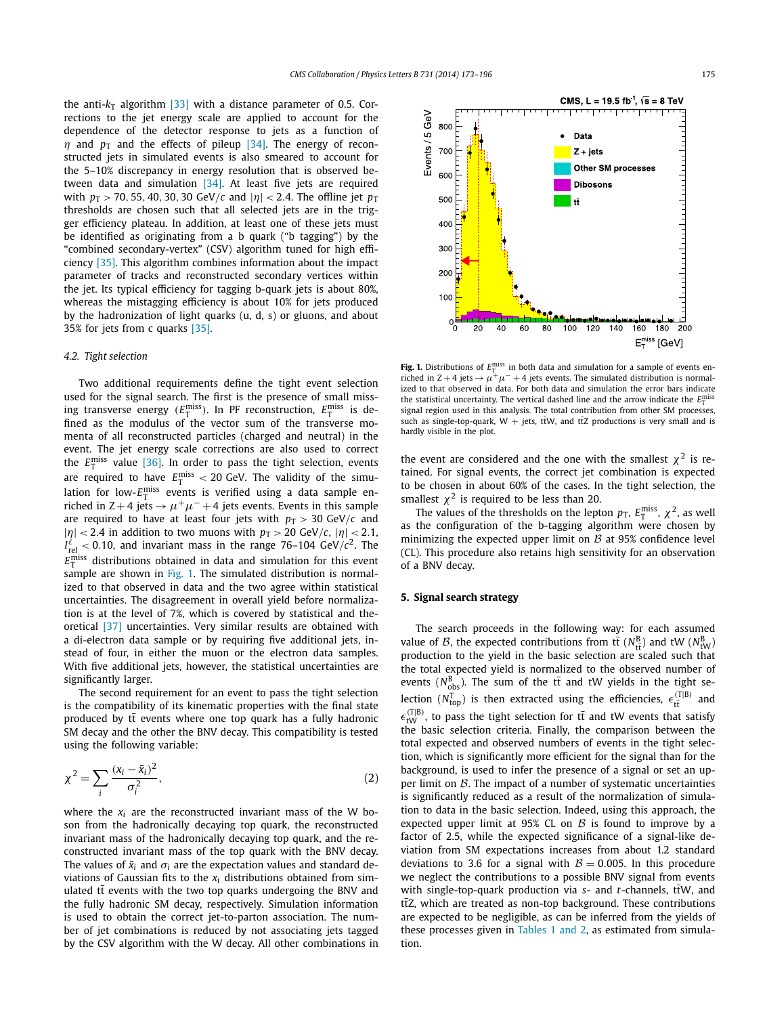<span id="page-2-0"></span>the anti- $k_T$  algorithm [\[33\]](#page-9-0) with a distance parameter of 0.5. Corrections to the jet energy scale are applied to account for the dependence of the detector response to jets as a function of *η* and *p*<sub>T</sub> and the effects of pileup [\[34\].](#page-9-0) The energy of reconstructed jets in simulated events is also smeared to account for the 5–10% discrepancy in energy resolution that is observed be-tween data and simulation [\[34\].](#page-9-0) At least five jets are required with  $p_T > 70, 55, 40, 30, 30$  GeV/*c* and  $|\eta| < 2.4$ . The offline jet  $p_T$ thresholds are chosen such that all selected jets are in the trigger efficiency plateau. In addition, at least one of these jets must be identified as originating from a b quark ("b tagging") by the "combined secondary-vertex" (CSV) algorithm tuned for high efficiency [\[35\].](#page-9-0) This algorithm combines information about the impact parameter of tracks and reconstructed secondary vertices within the jet. Its typical efficiency for tagging b-quark jets is about 80%, whereas the mistagging efficiency is about 10% for jets produced by the hadronization of light quarks (u, d, s) or gluons, and about 35% for jets from c quarks [\[35\].](#page-9-0)

#### *4.2. Tight selection*

Two additional requirements define the tight event selection used for the signal search. The first is the presence of small missing transverse energy  $(E_{\text{T}}^{\text{miss}})$ . In PF reconstruction,  $E_{\text{T}}^{\text{miss}}$  is defined as the modulus of the vector sum of the transverse momenta of all reconstructed particles (charged and neutral) in the event. The jet energy scale corrections are also used to correct the  $E_{\text{T}}^{\text{miss}}$  value [\[36\].](#page-9-0) In order to pass the tight selection, events are required to have  $E_{\text{T}}^{\text{miss}} < 20$  GeV. The validity of the simulation for low- $E_{\rm T}^{\rm miss}$  events is verified using a data sample enriched in  $Z + 4$  jets  $\rightarrow \mu^+ \mu^- + 4$  jets events. Events in this sample are required to have at least four jets with  $p_T > 30$  GeV/*c* and  $|\eta|$  < 2.4 in addition to two muons with  $p_T > 20$  GeV/*c*,  $|\eta|$  < 2.1,  $I_{\rm rel}^{\ell}$  < 0.10, and invariant mass in the range 76–104 GeV/ $c^2$ . The  $E_{\rm T}^{\rm miss}$  distributions obtained in data and simulation for this event sample are shown in Fig. 1. The simulated distribution is normalized to that observed in data and the two agree within statistical uncertainties. The disagreement in overall yield before normalization is at the level of 7%, which is covered by statistical and theoretical [\[37\]](#page-9-0) uncertainties. Very similar results are obtained with a di-electron data sample or by requiring five additional jets, instead of four, in either the muon or the electron data samples. With five additional jets, however, the statistical uncertainties are significantly larger.

The second requirement for an event to pass the tight selection is the compatibility of its kinematic properties with the final state produced by  $t\bar{t}$  events where one top quark has a fully hadronic SM decay and the other the BNV decay. This compatibility is tested using the following variable:

$$
\chi^2 = \sum_i \frac{(x_i - \bar{x}_i)^2}{\sigma_i^2},\tag{2}
$$

where the  $x_i$  are the reconstructed invariant mass of the W boson from the hadronically decaying top quark, the reconstructed invariant mass of the hadronically decaying top quark, and the reconstructed invariant mass of the top quark with the BNV decay. The values of  $\bar{x}_i$  and  $\sigma_i$  are the expectation values and standard deviations of Gaussian fits to the  $x_i$  distributions obtained from simulated  $t\bar{t}$  events with the two top quarks undergoing the BNV and the fully hadronic SM decay, respectively. Simulation information is used to obtain the correct jet-to-parton association. The number of jet combinations is reduced by not associating jets tagged by the CSV algorithm with the W decay. All other combinations in



**Fig. 1.** Distributions of  $E_{\text{T}}^{\text{miss}}$  in both data and simulation for a sample of events enriched in  $Z + 4$  jets  $\rightarrow \mu^{+}\mu^{-} + 4$  jets events. The simulated distribution is normalized to that observed in data. For both data and simulation the error bars indicate the statistical uncertainty. The vertical dashed line and the arrow indicate the *E*miss  $T_{\text{signal}}$  region used in this analysis. The total contribution from other SM processes, such as single-top-quark,  $W +$  jets, tt $W$ , and tt $Z$  productions is very small and is hardly visible in the plot.

the event are considered and the one with the smallest  $\chi^2$  is retained. For signal events, the correct jet combination is expected to be chosen in about 60% of the cases. In the tight selection, the smallest  $\chi^2$  is required to be less than 20.

The values of the thresholds on the lepton  $p_T$ ,  $E_T^{\text{miss}}$ ,  $\chi^2$ , as well as the configuration of the b-tagging algorithm were chosen by minimizing the expected upper limit on  $B$  at 95% confidence level (CL). This procedure also retains high sensitivity for an observation of a BNV decay.

#### **5. Signal search strategy**

The search proceeds in the following way: for each assumed value of B, the expected contributions from  $t\bar{t}$  ( $N_{\rm B}^{\rm B}$ ) and tW ( $N_{\rm BV}^{\rm B}$ ) production to the yield in the basic selection are scaled such that the total expected yield is normalized to the observed number of events ( $N_{\rm obs}^{\rm B}$ ). The sum of the t $\bar{\tau}$  and tW yields in the tight selection ( $N_{\text{top}}^{\text{T}}$ ) is then extracted using the efficiencies,  $\epsilon_{\text{t}\bar{\text{t}}}^{(\text{T}|B)}$  and  $\epsilon_{\text{tW}}^{\text{(T|B)}}$ , to pass the tight selection for tt and tW events that satisfy the basic selection criteria. Finally, the comparison between the total expected and observed numbers of events in the tight selection, which is significantly more efficient for the signal than for the background, is used to infer the presence of a signal or set an upper limit on  $\beta$ . The impact of a number of systematic uncertainties is significantly reduced as a result of the normalization of simulation to data in the basic selection. Indeed, using this approach, the expected upper limit at 95% CL on  $\beta$  is found to improve by a factor of 2.5, while the expected significance of a signal-like deviation from SM expectations increases from about 1.2 standard deviations to 3.6 for a signal with  $B = 0.005$ . In this procedure we neglect the contributions to a possible BNV signal from events with single-top-quark production via *s*- and *t*-channels, ttW, and ttZ, which are treated as non-top background. These contributions are expected to be negligible, as can be inferred from the yields of these processes given in [Tables 1 and 2,](#page-4-0) as estimated from simulation.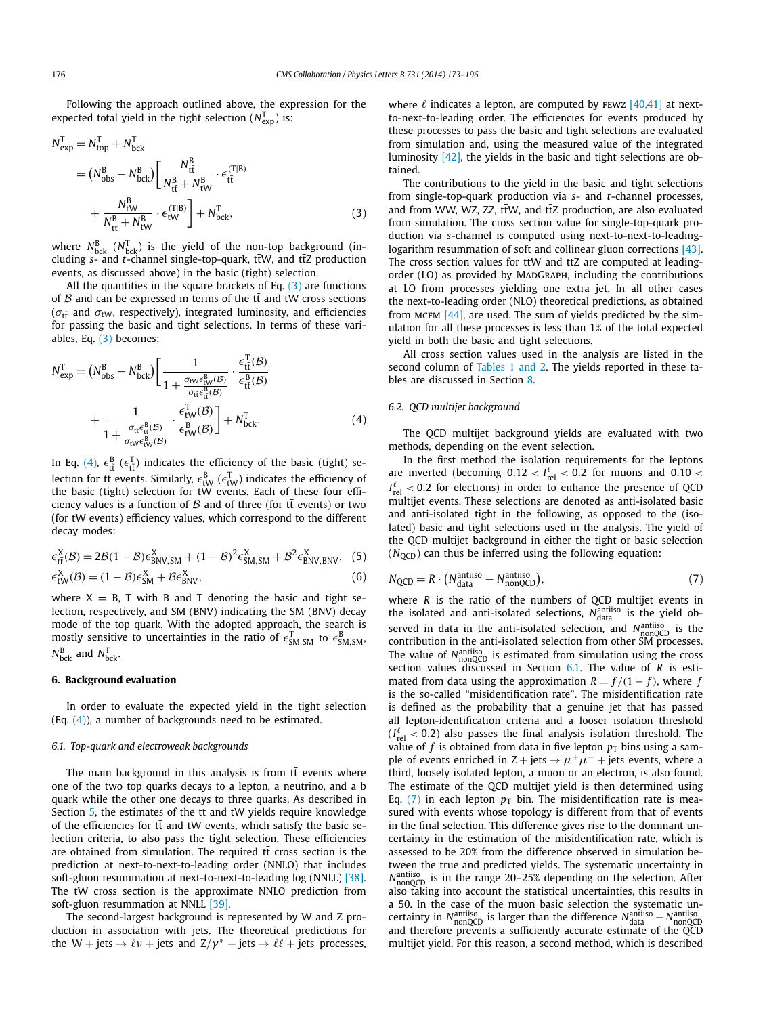<span id="page-3-0"></span>Following the approach outlined above, the expression for the expected total yield in the tight selection ( $N_{\rm exp}^{\rm T}$ ) is:

$$
N_{\text{exp}}^{\text{T}} = N_{\text{top}}^{\text{T}} + N_{\text{bck}}^{\text{T}}
$$
  
= 
$$
(N_{\text{obs}}^{\text{B}} - N_{\text{bck}}^{\text{B}}) \left[ \frac{N_{\text{t}\bar{\text{t}}}^{\text{B}}}{N_{\text{t}\bar{\text{t}}}^{\text{B}} + N_{\text{tW}}^{\text{B}}} \cdot \epsilon_{\text{t}\bar{\text{t}}}^{(\text{T}|B)} + \frac{N_{\text{tW}}^{\text{B}}}{N_{\text{t}\bar{\text{t}}}^{\text{B}} + N_{\text{tW}}^{\text{B}}} \cdot \epsilon_{\text{tW}}^{(\text{T}|B)} \right] + N_{\text{bck}}^{\text{T}},
$$
(3)

where  $N_{\text{bck}}^{\text{B}}$  ( $N_{\text{bck}}^{\text{T}}$ ) is the yield of the non-top background (including *s*- and *t*-channel single-top-quark, ttW, and ttZ production events, as discussed above) in the basic (tight) selection.

All the quantities in the square brackets of Eq.  $(3)$  are functions of  $\beta$  and can be expressed in terms of the tt and tW cross sections ( $\sigma_{\text{tf}}$  and  $\sigma_{\text{tW}}$ , respectively), integrated luminosity, and efficiencies for passing the basic and tight selections. In terms of these variables, Eq. (3) becomes:

$$
N_{\text{exp}}^{\text{T}} = (N_{\text{obs}}^{\text{B}} - N_{\text{bck}}^{\text{B}}) \left[ \frac{1}{1 + \frac{\sigma_{\text{tW}} \epsilon_{\text{tW}}^{\text{B}}(B)}{\sigma_{\text{t}\bar{\text{t}}}\epsilon_{\text{t}}^{\text{B}}(B)}} \cdot \frac{\epsilon_{\text{t}\bar{\text{t}}}^{\text{T}}(B)}{\epsilon_{\text{t}\bar{\text{t}}}^{\text{B}}(B)} + \frac{1}{1 + \frac{\sigma_{\text{t}\bar{\text{t}}}\epsilon_{\text{t}\bar{\text{t}}}^{\text{B}}(B)}{\sigma_{\text{tW}}\epsilon_{\text{tW}}^{\text{B}}(B)}} \right] + N_{\text{bck}}^{\text{T}}.
$$
\n(4)

In Eq. (4),  $\epsilon_{\text{rt}}^{\text{B}}$  ( $\epsilon_{\text{rt}}^{\text{T}}$ ) indicates the efficiency of the basic (tight) selection for tt̄ events. Similarly,  $\epsilon^{\text{B}}_{\text{tW}}$   $(\epsilon^{\text{T}}_{\text{tW}})$  indicates the efficiency of the basic (tight) selection for tW events. Each of these four efficiency values is a function of  $\beta$  and of three (for  $t\bar{t}$  events) or two (for tW events) efficiency values, which correspond to the different decay modes:

$$
\epsilon_{\text{tf}}^X(\mathcal{B}) = 2\mathcal{B}(1-\mathcal{B})\epsilon_{\text{BNV,SM}}^X + (1-\mathcal{B})^2 \epsilon_{\text{SM,SM}}^X + \mathcal{B}^2 \epsilon_{\text{BNV,BNV}}^X,\tag{5}
$$

$$
\epsilon_{\text{tW}}^{\text{X}}(\mathcal{B}) = (1 - \mathcal{B})\epsilon_{\text{SM}}^{\text{X}} + \mathcal{B}\epsilon_{\text{BNV}}^{\text{X}},\tag{6}
$$

where  $X = B$ , T with B and T denoting the basic and tight selection, respectively, and SM (BNV) indicating the SM (BNV) decay mode of the top quark. With the adopted approach, the search is mostly sensitive to uncertainties in the ratio of  $\epsilon_\text{SM,SM}^\text{T}$  to  $\epsilon_\text{SM,SM}^\text{B}$ ,  $N_{\rm bck}^{\rm B}$  and  $N_{\rm bck}^{\rm T}$ .

#### **6. Background evaluation**

In order to evaluate the expected yield in the tight selection (Eq. (4)), a number of backgrounds need to be estimated.

#### *6.1. Top-quark and electroweak backgrounds*

The main background in this analysis is from  $t\bar{t}$  events where one of the two top quarks decays to a lepton, a neutrino, and a b quark while the other one decays to three quarks. As described in Section  $5$ , the estimates of the  $t\bar{t}$  and tW yields require knowledge of the efficiencies for  $t\bar{t}$  and tW events, which satisfy the basic selection criteria, to also pass the tight selection. These efficiencies are obtained from simulation. The required  $t\bar{t}$  cross section is the prediction at next-to-next-to-leading order (NNLO) that includes soft-gluon resummation at next-to-next-to-leading log (NNLL) [\[38\].](#page-9-0) The tW cross section is the approximate NNLO prediction from soft-gluon resummation at NNLL [\[39\].](#page-9-0)

The second-largest background is represented by W and Z production in association with jets. The theoretical predictions for the W + jets  $\rightarrow \ell \nu$  + jets and  $Z/\gamma^*$  + jets  $\rightarrow \ell \ell$  + jets processes, where  $\ell$  indicates a lepton, are computed by FEWZ [\[40,41\]](#page-9-0) at nextto-next-to-leading order. The efficiencies for events produced by these processes to pass the basic and tight selections are evaluated from simulation and, using the measured value of the integrated luminosity [\[42\],](#page-9-0) the yields in the basic and tight selections are obtained.

The contributions to the yield in the basic and tight selections from single-top-quark production via *s*- and *t*-channel processes, and from WW, WZ, ZZ,  $t\bar{t}W$ , and  $t\bar{t}Z$  production, are also evaluated from simulation. The cross section value for single-top-quark production via *s*-channel is computed using next-to-next-to-leadinglogarithm resummation of soft and collinear gluon corrections [\[43\].](#page-9-0) The cross section values for  $t\bar{t}W$  and  $t\bar{t}Z$  are computed at leadingorder (LO) as provided by MADGRAPH, including the contributions at LO from processes yielding one extra jet. In all other cases the next-to-leading order (NLO) theoretical predictions, as obtained from MCFM  $[44]$ , are used. The sum of yields predicted by the simulation for all these processes is less than 1% of the total expected yield in both the basic and tight selections.

All cross section values used in the analysis are listed in the second column of [Tables 1 and 2.](#page-4-0) The yields reported in these tables are discussed in Section [8.](#page-6-0)

#### *6.2. QCD multijet background*

The QCD multijet background yields are evaluated with two methods, depending on the event selection.

In the first method the isolation requirements for the leptons are inverted (becoming  $0.12 < I_{rel}^{\ell} < 0.2$  for muons and  $0.10 <$  $I_{\text{rel}}^{\ell}$  < 0.2 for electrons) in order to enhance the presence of QCD multijet events. These selections are denoted as anti-isolated basic and anti-isolated tight in the following, as opposed to the (isolated) basic and tight selections used in the analysis. The yield of the QCD multijet background in either the tight or basic selection  $(N<sub>OCD</sub>)$  can thus be inferred using the following equation:

$$
N_{\text{QCD}} = R \cdot \left( N_{\text{data}}^{\text{antiso}} - N_{\text{nonQCD}}^{\text{antiso}} \right),\tag{7}
$$

where *R* is the ratio of the numbers of QCD multijet events in the isolated and anti-isolated selections, Nantiiso is the yield observed in data in the anti-isolated selection, and Nantiiso is the contribution in the anti-isolated selection from other SM processes. The value of  $N_{\text{nonQCD}}^{\text{antision}}$  is estimated from simulation using the cross section values discussed in Section 6.1. The value of *R* is estimated from data using the approximation  $R = f/(1 - f)$ , where *f* is the so-called "misidentification rate". The misidentification rate is defined as the probability that a genuine jet that has passed all lepton-identification criteria and a looser isolation threshold  $(I_{rel}^{\ell} < 0.2)$  also passes the final analysis isolation threshold. The value of  $f$  is obtained from data in five lepton  $p<sub>T</sub>$  bins using a sample of events enriched in  $Z + \text{jets} \rightarrow \mu^+ \mu^- + \text{jets}$  events, where a third, loosely isolated lepton, a muon or an electron, is also found. The estimate of the QCD multijet yield is then determined using Eq. (7) in each lepton  $p<sub>T</sub>$  bin. The misidentification rate is measured with events whose topology is different from that of events in the final selection. This difference gives rise to the dominant uncertainty in the estimation of the misidentification rate, which is assessed to be 20% from the difference observed in simulation between the true and predicted yields. The systematic uncertainty in *N*<sup>antiiso</sup> is in the range 20–25% depending on the selection. After also taking into account the statistical uncertainties, this results in a 50. In the case of the muon basic selection the systematic uncertainty in *N*<sup>antiiso</sup> is larger than the difference *N*<sup>antiiso</sup> – *N*<sup>antiiso</sup> and therefore prevents a sufficiently accurate estimate of the QCD</sub> multijet yield. For this reason, a second method, which is described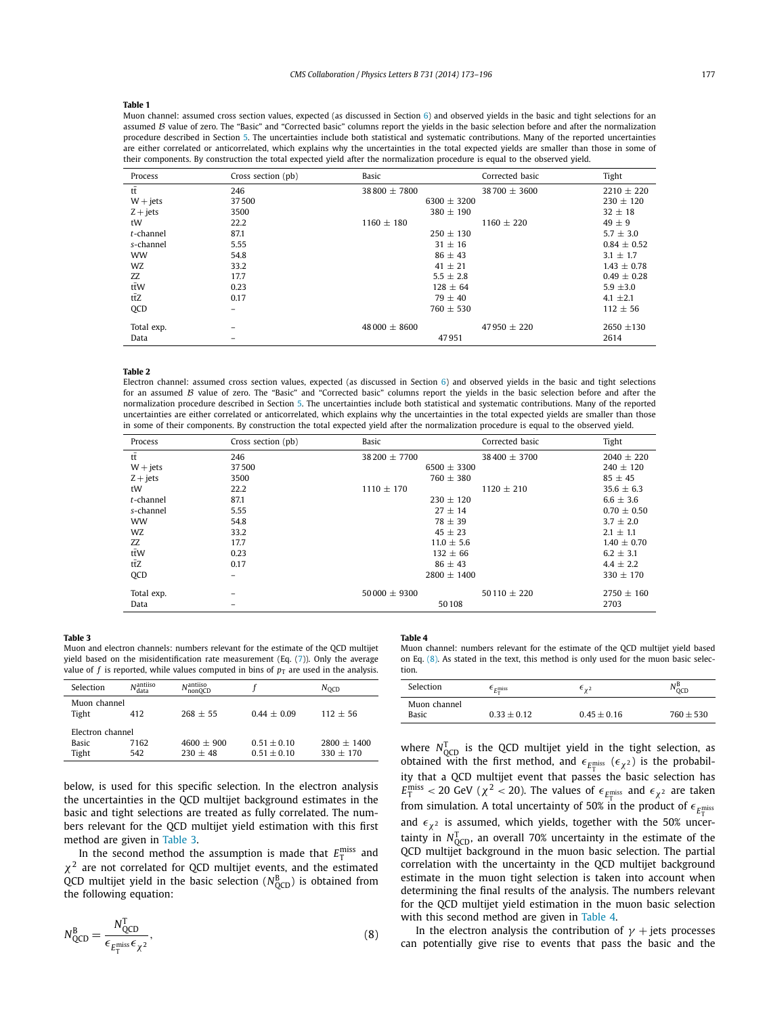<span id="page-4-0"></span>Muon channel: assumed cross section values, expected (as discussed in Section [6\)](#page-3-0) and observed yields in the basic and tight selections for an assumed  $\beta$  value of zero. The "Basic" and "Corrected basic" columns report the yields in the basic selection before and after the normalization procedure described in Section [5.](#page-2-0) The uncertainties include both statistical and systematic contributions. Many of the reported uncertainties are either correlated or anticorrelated, which explains why the uncertainties in the total expected yields are smaller than those in some of their components. By construction the total expected yield after the normalization procedure is equal to the observed yield.

| Process      | Cross section (pb) | Basic            | Corrected basic  | Tight           |
|--------------|--------------------|------------------|------------------|-----------------|
| $t\bar{t}$   | 246                | $38800 \pm 7800$ | $38700 \pm 3600$ | $2210 \pm 220$  |
| $W + jets$   | 37500              | $6300 \pm 3200$  |                  | $230 \pm 120$   |
| $Z + jets$   | 3500               | $380 \pm 190$    |                  | $32 \pm 18$     |
| tW           | 22.2               | $1160 \pm 180$   | $1160 \pm 220$   | $49 \pm 9$      |
| $t$ -channel | 87.1               | $250 \pm 130$    |                  | $5.7 \pm 3.0$   |
| s-channel    | 5.55               | $31 \pm 16$      |                  | $0.84 \pm 0.52$ |
| <b>WW</b>    | 54.8               | $86 \pm 43$      |                  | $3.1 \pm 1.7$   |
| WZ.          | 33.2               | $41 \pm 21$      |                  | $1.43 \pm 0.78$ |
| ZZ           | 17.7               | $5.5 \pm 2.8$    |                  | $0.49 \pm 0.28$ |
| ttW          | 0.23               | $128 \pm 64$     |                  | $5.9 \pm 3.0$   |
| tīZ          | 0.17               | $79 \pm 40$      |                  | 4.1 $\pm 2.1$   |
| QCD          |                    | $760 \pm 530$    |                  | $112 \pm 56$    |
| Total exp.   |                    | $48000 \pm 8600$ | 47 950 $\pm$ 220 | $2650 \pm 130$  |
| Data         |                    | 47951            |                  | 2614            |

#### **Table 2**

Electron channel: assumed cross section values, expected (as discussed in Section [6\)](#page-3-0) and observed yields in the basic and tight selections for an assumed  $B$  value of zero. The "Basic" and "Corrected basic" columns report the yields in the basic selection before and after the normalization procedure described in Section [5.](#page-2-0) The uncertainties include both statistical and systematic contributions. Many of the reported uncertainties are either correlated or anticorrelated, which explains why the uncertainties in the total expected yields are smaller than those in some of their components. By construction the total expected yield after the normalization procedure is equal to the observed yield.

| Process      | Cross section (pb) | Basic            | Corrected basic  | Tight           |
|--------------|--------------------|------------------|------------------|-----------------|
| tt           | 246                | $38200 \pm 7700$ | $38400 \pm 3700$ | $2040 \pm 220$  |
| $W + jets$   | 37500              | $6500 \pm 3300$  |                  | $240 \pm 120$   |
| $Z + jets$   | 3500               | $760 \pm 380$    |                  | $85 \pm 45$     |
| tW           | 22.2               | $1110 \pm 170$   | $1120 \pm 210$   | $35.6 \pm 6.3$  |
| $t$ -channel | 87.1               | $230 \pm 120$    |                  | $6.6 \pm 3.6$   |
| s-channel    | 5.55               | $27 \pm 14$      |                  | $0.70 \pm 0.50$ |
| <b>WW</b>    | 54.8               | $78 \pm 39$      |                  | $3.7 \pm 2.0$   |
| WZ           | 33.2               | $45 \pm 23$      |                  | $2.1 \pm 1.1$   |
| ZZ           | 17.7               | $11.0 \pm 5.6$   |                  | $1.40 \pm 0.70$ |
| ttW          | 0.23               | $132 \pm 66$     |                  | $6.2 \pm 3.1$   |
| tīZ          | 0.17               | $86 \pm 43$      |                  | $4.4 \pm 2.2$   |
| QCD          |                    | $2800 \pm 1400$  |                  | $330 \pm 170$   |
| Total exp.   |                    | $50000 \pm 9300$ | 50110 $\pm$ 220  | $2750 \pm 160$  |
| Data         |                    | 50108            |                  | 2703            |

#### **Table 3**

Muon and electron channels: numbers relevant for the estimate of the QCD multijet yield based on the misidentification rate measurement (Eq. [\(7\)](#page-3-0)). Only the average value of  $f$  is reported, while values computed in bins of  $p<sub>T</sub>$  are used in the analysis.

| N <sub>1</sub> <sup>antiso</sup><br>data | $N$ antiiso<br>nonOCD |               | N <sub>OCD</sub> |
|------------------------------------------|-----------------------|---------------|------------------|
| Muon channel                             |                       |               |                  |
| 412                                      | $268 + 55$            | $0.44 + 0.09$ | $112 + 56$       |
| Electron channel                         |                       |               |                  |
| 7162                                     | $4600 + 900$          | $0.51 + 0.10$ | $2800 + 1400$    |
| 542                                      | $230 + 48$            | $0.51 + 0.10$ | $330 + 170$      |
|                                          |                       |               |                  |

below, is used for this specific selection. In the electron analysis the uncertainties in the QCD multijet background estimates in the basic and tight selections are treated as fully correlated. The numbers relevant for the QCD multijet yield estimation with this first method are given in Table 3.

In the second method the assumption is made that  $E_{\text{T}}^{\text{miss}}$  and  $\chi^2$  are not correlated for QCD multijet events, and the estimated QCD multijet yield in the basic selection ( $N^{\text{B}}_{\text{QCD}}$ ) is obtained from the following equation:

$$
N_{\text{QCD}}^{\text{B}} = \frac{N_{\text{QCD}}^{\text{T}}}{\epsilon_{E_{\text{T}}^{\text{miss}}}\epsilon_{\chi^2}},\tag{8}
$$

#### **Table 4**

Muon channel: numbers relevant for the estimate of the QCD multijet yield based on Eq. (8). As stated in the text, this method is only used for the muon basic selection.

| Selection    | $\epsilon_{E_{\rm T}^{\rm miss}}$ | $\epsilon_{\gamma2}$ | <b>OCD</b>    |
|--------------|-----------------------------------|----------------------|---------------|
| Muon channel |                                   |                      |               |
| <b>Basic</b> | $0.33 \pm 0.12$                   | $0.45 \pm 0.16$      | $760 \pm 530$ |

where  $N_{\text{QCD}}^{\text{T}}$  is the QCD multijet yield in the tight selection, as obtained with the first method, and  $\epsilon_{E_{\text{T}}^{\text{miss}}}$  ( $\epsilon_{\chi^2}$ ) is the probability that a QCD multijet event that passes the basic selection has  $E_{\rm T}^{\rm miss} <$  20 GeV ( $\chi^2 <$  20). The values of  $\epsilon_{E_{\rm T}^{\rm miss}}$  and  $\epsilon_{\chi^2}$  are taken from simulation. A total uncertainty of 50% in the product of  $\epsilon_{E_{\text{t}}^{\text{mix}}}$ and  $\epsilon_{\chi^2}$  is assumed, which yields, together with the 50% uncertainty in  $N_{\text{QCD}}^{\text{T}}$ , an overall 70% uncertainty in the estimate of the QCD multijet background in the muon basic selection. The partial correlation with the uncertainty in the QCD multijet background estimate in the muon tight selection is taken into account when determining the final results of the analysis. The numbers relevant for the QCD multijet yield estimation in the muon basic selection with this second method are given in Table 4.

In the electron analysis the contribution of  $\gamma$  + jets processes can potentially give rise to events that pass the basic and the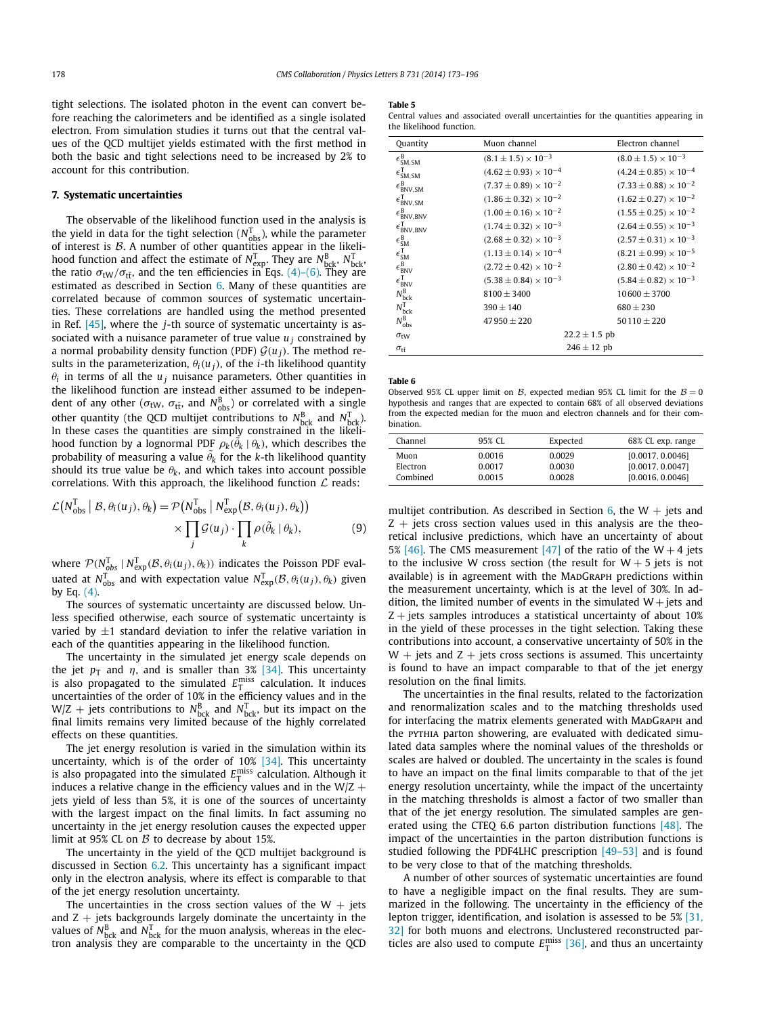<span id="page-5-0"></span>tight selections. The isolated photon in the event can convert before reaching the calorimeters and be identified as a single isolated electron. From simulation studies it turns out that the central values of the QCD multijet yields estimated with the first method in both the basic and tight selections need to be increased by 2% to account for this contribution.

#### **7. Systematic uncertainties**

The observable of the likelihood function used in the analysis is the yield in data for the tight selection ( $N_{\rm obs}^{\rm T}$ ), while the parameter of interest is  $B$ . A number of other quantities appear in the likelihood function and affect the estimate of  $N_{\text{exp}}^{\text{T}}$ . They are  $N_{\text{bck}}^{\text{B}}$ ,  $N_{\text{bck}}^{\text{T}}$ , the ratio  $\sigma_{\text{tw}}/\sigma_{\text{tf}}$ , and the ten efficiencies in Eqs. [\(4\)–\(6\).](#page-3-0) They are estimated as described in Section [6.](#page-3-0) Many of these quantities are correlated because of common sources of systematic uncertainties. These correlations are handled using the method presented in Ref. [\[45\],](#page-9-0) where the *j*-th source of systematic uncertainty is associated with a nuisance parameter of true value  $u_i$  constrained by a normal probability density function (PDF)  $\mathcal{G}(u_i)$ . The method results in the parameterization,  $\theta_i(u_j)$ , of the *i*-th likelihood quantity  $\theta$ *i* in terms of all the  $u_j$  nuisance parameters. Other quantities in the likelihood function are instead either assumed to be independent of any other ( $\sigma_{\text{tW}}$ ,  $\sigma_{\text{t\bar{t}}}$ , and  $N_{\text{obs}}^{\text{B}}$ ) or correlated with a single other quantity (the QCD multijet contributions to  $N_{\rm bck}^{\rm B}$  and  $N_{\rm bck}^{\rm T}$ ). In these cases the quantities are simply constrained in the likelihood function by a lognormal PDF  $\rho_k(\theta_k | \theta_k)$ , which describes the probability of measuring a value  $\theta_k$  for the  $k$ -th likelihood quantity should its true value be  $\theta_k$ , and which takes into account possible correlations. With this approach, the likelihood function  $\mathcal L$  reads:

$$
\mathcal{L}(N_{\text{obs}}^{\text{T}} \mid \mathcal{B}, \theta_i(u_j), \theta_k) = \mathcal{P}(N_{\text{obs}}^{\text{T}} \mid N_{\text{exp}}^{\text{T}}(\mathcal{B}, \theta_i(u_j), \theta_k)) \times \prod_j \mathcal{G}(u_j) \cdot \prod_k \rho(\tilde{\theta}_k \mid \theta_k), \tag{9}
$$

where  $\mathcal{P}(N_{obs}^{\text{T}} \mid N_{\text{exp}}^{\text{T}}(\mathcal{B}, \theta_i(u_j), \theta_k))$  indicates the Poisson PDF evaluated at  $N_{\text{obs}}^{\text{T}}$  and with expectation value  $N_{\text{exp}}^{\text{T}}(\mathcal{B}, \theta_i(u_j), \theta_k)$  given by Eq. [\(4\).](#page-3-0)

The sources of systematic uncertainty are discussed below. Unless specified otherwise, each source of systematic uncertainty is varied by  $\pm 1$  standard deviation to infer the relative variation in each of the quantities appearing in the likelihood function.

The uncertainty in the simulated jet energy scale depends on the jet  $p_T$  and  $\eta$ , and is smaller than 3% [\[34\].](#page-9-0) This uncertainty is also propagated to the simulated  $E_{\rm T}^{\rm miss}$  calculation. It induces uncertainties of the order of 10% in the efficiency values and in the  $W/Z$  + jets contributions to  $N_{\text{bck}}^{\text{B}}$  and  $N_{\text{bck}}^{\text{T}}$ , but its impact on the final limits remains very limited because of the highly correlated effects on these quantities.

The jet energy resolution is varied in the simulation within its uncertainty, which is of the order of 10% [\[34\].](#page-9-0) This uncertainty is also propagated into the simulated  $E_{\textrm{T}}^{\textrm{miss}}$  calculation. Although it induces a relative change in the efficiency values and in the W/Z + jets yield of less than 5%, it is one of the sources of uncertainty with the largest impact on the final limits. In fact assuming no uncertainty in the jet energy resolution causes the expected upper limit at 95% CL on  $\beta$  to decrease by about 15%.

The uncertainty in the yield of the QCD multijet background is discussed in Section [6.2.](#page-3-0) This uncertainty has a significant impact only in the electron analysis, where its effect is comparable to that of the jet energy resolution uncertainty.

The uncertainties in the cross section values of the  $W +$  jets and  $Z$  + jets backgrounds largely dominate the uncertainty in the values of  $N^{\rm B}_{\rm bck}$  and  $N^{\rm T}_{\rm bck}$  for the muon analysis, whereas in the electron analysis they are comparable to the uncertainty in the QCD

#### **Table 5**

Central values and associated overall uncertainties for the quantities appearing in the likelihood function.

| Quantity                                                            | Muon channel                     | Electron channel                 |  |
|---------------------------------------------------------------------|----------------------------------|----------------------------------|--|
| $\epsilon_{\rm SM, SM}^{\rm B}$                                     | $(8.1 \pm 1.5) \times 10^{-3}$   | $(8.0 \pm 1.5) \times 10^{-3}$   |  |
| $\epsilon_{\rm SM,SM}^{\rm T}$                                      | $(4.62 \pm 0.93) \times 10^{-4}$ | $(4.24 \pm 0.85) \times 10^{-4}$ |  |
| $\epsilon_{\rm BNV,SM}^{\rm B}$                                     | $(7.37 \pm 0.89) \times 10^{-2}$ | $(7.33 \pm 0.88) \times 10^{-2}$ |  |
| $\epsilon_{\text{BNV,SM}}^{\text{T}}$                               | $(1.86 \pm 0.32) \times 10^{-2}$ | $(1.62 \pm 0.27) \times 10^{-2}$ |  |
| $\epsilon_{\rm BNV,BNV}^{\rm B}$                                    | $(1.00 \pm 0.16) \times 10^{-2}$ | $(1.55 \pm 0.25) \times 10^{-2}$ |  |
| $\epsilon_{\rm BNV,BNV}^{\rm T}$                                    | $(1.74 \pm 0.32) \times 10^{-3}$ | $(2.64 \pm 0.55) \times 10^{-3}$ |  |
|                                                                     | $(2.68 \pm 0.32) \times 10^{-3}$ | $(2.57 \pm 0.31) \times 10^{-3}$ |  |
| $\epsilon^{\text{B}}_{\text{SM}}$ $\epsilon^{\text{T}}_{\text{SM}}$ | $(1.13 \pm 0.14) \times 10^{-4}$ | $(8.21 \pm 0.99) \times 10^{-5}$ |  |
| $\epsilon_{\rm BNV}^{\rm B}$                                        | $(2.72 \pm 0.42) \times 10^{-2}$ | $(2.80 \pm 0.42) \times 10^{-2}$ |  |
| $\epsilon_{\rm BNV}^{\rm T}$                                        | $(5.38 \pm 0.84) \times 10^{-3}$ | $(5.84 \pm 0.82) \times 10^{-3}$ |  |
| $N_{\text{bck}}^{\text{B}}$                                         | $8100 \pm 3400$                  | $10600 \pm 3700$                 |  |
| $N_{\rm bck}^{\rm T}$                                               | $390 \pm 140$                    | $680 \pm 230$                    |  |
| $N_{\rm obs}^{\rm B}$                                               | $47950 \pm 220$                  | $50110 \pm 220$                  |  |
| $\sigma_{\rm{tW}}$                                                  | $22.2 \pm 1.5$ pb                |                                  |  |
| $\sigma_{\rm t\bar{t}}$                                             | $246 \pm 12$ pb                  |                                  |  |

#### **Table 6**

Observed 95% CL upper limit on  $B$ , expected median 95% CL limit for the  $B = 0$ hypothesis and ranges that are expected to contain 68% of all observed deviations from the expected median for the muon and electron channels and for their combination.

| Channel  | 95% CL | Expected | 68% CL exp. range |
|----------|--------|----------|-------------------|
| Muon     | 0.0016 | 0.0029   | [0.0017, 0.0046]  |
| Electron | 0.0017 | 0.0030   | [0.0017, 0.0047]  |
| Combined | 0.0015 | 0.0028   | [0.0016, 0.0046]  |

multijet contribution. As described in Section [6,](#page-3-0) the  $W +$  jets and  $Z +$  jets cross section values used in this analysis are the theoretical inclusive predictions, which have an uncertainty of about 5% [\[46\].](#page-9-0) The CMS measurement [\[47\]](#page-9-0) of the ratio of the W  $+$  4 jets to the inclusive W cross section (the result for  $W + 5$  jets is not available) is in agreement with the MADGRAPH predictions within the measurement uncertainty, which is at the level of 30%. In addition, the limited number of events in the simulated  $W +$ jets and  $Z +$  jets samples introduces a statistical uncertainty of about 10% in the yield of these processes in the tight selection. Taking these contributions into account, a conservative uncertainty of 50% in the  $W +$  jets and Z + jets cross sections is assumed. This uncertainty is found to have an impact comparable to that of the jet energy resolution on the final limits.

The uncertainties in the final results, related to the factorization and renormalization scales and to the matching thresholds used for interfacing the matrix elements generated with MADGRAPH and the pythia parton showering, are evaluated with dedicated simulated data samples where the nominal values of the thresholds or scales are halved or doubled. The uncertainty in the scales is found to have an impact on the final limits comparable to that of the jet energy resolution uncertainty, while the impact of the uncertainty in the matching thresholds is almost a factor of two smaller than that of the jet energy resolution. The simulated samples are generated using the CTEQ 6.6 parton distribution functions [\[48\].](#page-9-0) The impact of the uncertainties in the parton distribution functions is studied following the PDF4LHC prescription [\[49–53\]](#page-9-0) and is found to be very close to that of the matching thresholds.

A number of other sources of systematic uncertainties are found to have a negligible impact on the final results. They are summarized in the following. The uncertainty in the efficiency of the lepton trigger, identification, and isolation is assessed to be 5% [\[31,](#page-9-0) [32\]](#page-9-0) for both muons and electrons. Unclustered reconstructed particles are also used to compute  $E_{\text{T}}^{\text{miss}}$  [\[36\],](#page-9-0) and thus an uncertainty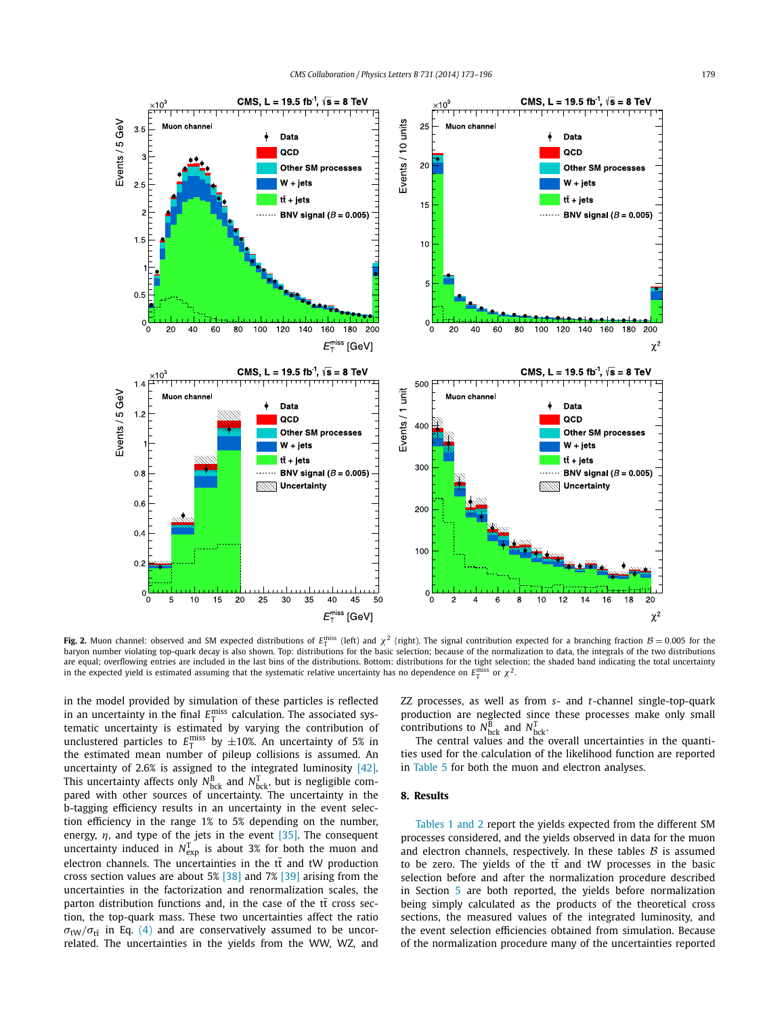<span id="page-6-0"></span>

**Fig. 2.** Muon channel: observed and SM expected distributions of  $E_{\text{I}}^{\text{miss}}$  (left) and  $\chi^2$  (right). The signal contribution expected for a branching fraction  $B = 0.005$  for the baryon number violating top-quark decay is also shown. Top: distributions for the basic selection; because of the normalization to data, the integrals of the two distributions are equal; overflowing entries are included in the last bins of the distributions. Bottom: distributions for the tight selection; the shaded band indicating the total uncertainty in the expected yield is estimated assuming that the systematic relative uncertainty has no dependence on  $E_T^{\text{miss}}$  or  $\chi^2$ .

in the model provided by simulation of these particles is reflected in an uncertainty in the final  $E_{\text{T}}^{\text{miss}}$  calculation. The associated systematic uncertainty is estimated by varying the contribution of unclustered particles to  $E_{\text{T}}^{\text{miss}}$  by  $\pm 10\%$ . An uncertainty of 5% in the estimated mean number of pileup collisions is assumed. An uncertainty of 2.6% is assigned to the integrated luminosity [\[42\].](#page-9-0) This uncertainty affects only  $N_{\rm bck}^{\rm B}$  and  $N_{\rm bck}^{\rm T}$ , but is negligible compared with other sources of uncertainty. The uncertainty in the b-tagging efficiency results in an uncertainty in the event selection efficiency in the range 1% to 5% depending on the number, energy, *η*, and type of the jets in the event [\[35\].](#page-9-0) The consequent uncertainty induced in  $N_{\text{exp}}^{\text{T}}$  is about 3% for both the muon and electron channels. The uncertainties in the  $t\bar{t}$  and tW production cross section values are about 5% [\[38\]](#page-9-0) and 7% [\[39\]](#page-9-0) arising from the uncertainties in the factorization and renormalization scales, the parton distribution functions and, in the case of the  $t\bar{t}$  cross section, the top-quark mass. These two uncertainties affect the ratio  $\sigma_{\text{tW}}/\sigma_{\text{t}}$  in Eq. [\(4\)](#page-3-0) and are conservatively assumed to be uncorrelated. The uncertainties in the yields from the WW, WZ, and ZZ processes, as well as from *s*- and *t*-channel single-top-quark production are neglected since these processes make only small contributions to  $N_{\text{bck}}^B$  and  $N_{\text{bck}}^T$ .<br>The central values and the overall uncertainties in the quanti-

ties used for the calculation of the likelihood function are reported in [Table 5](#page-5-0) for both the muon and electron analyses.

#### **8. Results**

[Tables 1 and 2](#page-4-0) report the yields expected from the different SM processes considered, and the yields observed in data for the muon and electron channels, respectively. In these tables  $\beta$  is assumed to be zero. The yields of the  $t\bar{t}$  and tW processes in the basic selection before and after the normalization procedure described in Section [5](#page-2-0) are both reported, the yields before normalization being simply calculated as the products of the theoretical cross sections, the measured values of the integrated luminosity, and the event selection efficiencies obtained from simulation. Because of the normalization procedure many of the uncertainties reported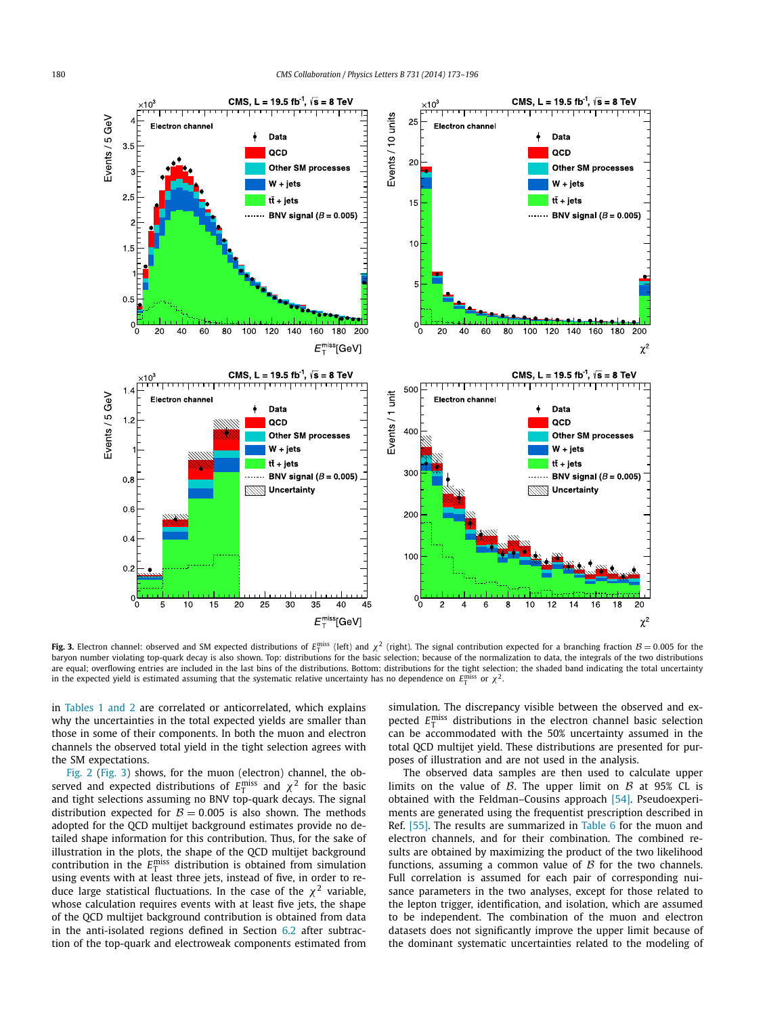

**Fig. 3.** Electron channel: observed and SM expected distributions of  $E_{\rm T}^{\rm miss}$  (left) and  $\chi^2$  (right). The signal contribution expected for a branching fraction  ${\cal B}=0.005$  for the baryon number violating top-quark decay is also shown. Top: distributions for the basic selection; because of the normalization to data, the integrals of the two distributions are equal; overflowing entries are included in the last bins of the distributions. Bottom: distributions for the tight selection; the shaded band indicating the total uncertainty in the expected yield is estimated assuming that the systematic relative uncertainty has no dependence on  $E_T^{\rm miss}$  or  $\chi^2$ .

in [Tables 1 and 2](#page-4-0) are correlated or anticorrelated, which explains why the uncertainties in the total expected yields are smaller than those in some of their components. In both the muon and electron channels the observed total yield in the tight selection agrees with the SM expectations.

[Fig. 2](#page-6-0) (Fig. 3) shows, for the muon (electron) channel, the observed and expected distributions of  $E_{\rm T}^{\rm miss}$  and  $\chi^2$  for the basic and tight selections assuming no BNV top-quark decays. The signal distribution expected for  $B = 0.005$  is also shown. The methods adopted for the QCD multijet background estimates provide no detailed shape information for this contribution. Thus, for the sake of illustration in the plots, the shape of the QCD multijet background contribution in the  $E_{\text{T}}^{\text{miss}}$  distribution is obtained from simulation using events with at least three jets, instead of five, in order to reduce large statistical fluctuations. In the case of the  $\chi^2$  variable, whose calculation requires events with at least five jets, the shape of the QCD multijet background contribution is obtained from data in the anti-isolated regions defined in Section [6.2](#page-3-0) after subtraction of the top-quark and electroweak components estimated from simulation. The discrepancy visible between the observed and expected  $E_{\text{T}}^{\text{miss}}$  distributions in the electron channel basic selection can be accommodated with the 50% uncertainty assumed in the total QCD multijet yield. These distributions are presented for purposes of illustration and are not used in the analysis.

The observed data samples are then used to calculate upper limits on the value of  $\beta$ . The upper limit on  $\beta$  at 95% CL is obtained with the Feldman–Cousins approach [\[54\].](#page-9-0) Pseudoexperiments are generated using the frequentist prescription described in Ref. [\[55\].](#page-9-0) The results are summarized in [Table 6](#page-5-0) for the muon and electron channels, and for their combination. The combined results are obtained by maximizing the product of the two likelihood functions, assuming a common value of  $\beta$  for the two channels. Full correlation is assumed for each pair of corresponding nuisance parameters in the two analyses, except for those related to the lepton trigger, identification, and isolation, which are assumed to be independent. The combination of the muon and electron datasets does not significantly improve the upper limit because of the dominant systematic uncertainties related to the modeling of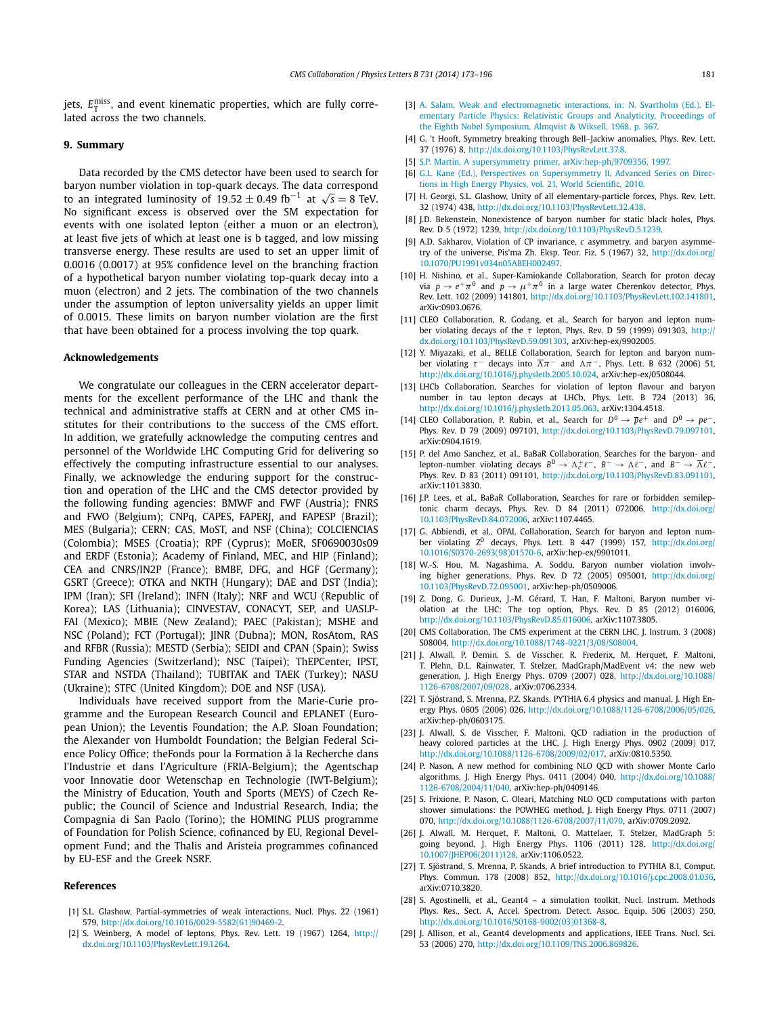<span id="page-8-0"></span>jets,  $E_{\rm T}^{\rm miss}$ , and event kinematic properties, which are fully correlated across the two channels.

#### **9. Summary**

Data recorded by the CMS detector have been used to search for baryon number violation in top-quark decays. The data correspond to an integrated luminosity of  $19.52 \pm 0.49$  fb<sup>-1</sup> at  $\sqrt{s} = 8$  TeV. No significant excess is observed over the SM expectation for events with one isolated lepton (either a muon or an electron), at least five jets of which at least one is b tagged, and low missing transverse energy. These results are used to set an upper limit of 0.0016 (0.0017) at 95% confidence level on the branching fraction of a hypothetical baryon number violating top-quark decay into a muon (electron) and 2 jets. The combination of the two channels under the assumption of lepton universality yields an upper limit of 0.0015. These limits on baryon number violation are the first that have been obtained for a process involving the top quark.

#### **Acknowledgements**

We congratulate our colleagues in the CERN accelerator departments for the excellent performance of the LHC and thank the technical and administrative staffs at CERN and at other CMS institutes for their contributions to the success of the CMS effort. In addition, we gratefully acknowledge the computing centres and personnel of the Worldwide LHC Computing Grid for delivering so effectively the computing infrastructure essential to our analyses. Finally, we acknowledge the enduring support for the construction and operation of the LHC and the CMS detector provided by the following funding agencies: BMWF and FWF (Austria); FNRS and FWO (Belgium); CNPq, CAPES, FAPERJ, and FAPESP (Brazil); MES (Bulgaria); CERN; CAS, MoST, and NSF (China); COLCIENCIAS (Colombia); MSES (Croatia); RPF (Cyprus); MoER, SF0690030s09 and ERDF (Estonia); Academy of Finland, MEC, and HIP (Finland); CEA and CNRS/IN2P (France); BMBF, DFG, and HGF (Germany); GSRT (Greece); OTKA and NKTH (Hungary); DAE and DST (India); IPM (Iran); SFI (Ireland); INFN (Italy); NRF and WCU (Republic of Korea); LAS (Lithuania); CINVESTAV, CONACYT, SEP, and UASLP-FAI (Mexico); MBIE (New Zealand); PAEC (Pakistan); MSHE and NSC (Poland); FCT (Portugal); JINR (Dubna); MON, RosAtom, RAS and RFBR (Russia); MESTD (Serbia); SEIDI and CPAN (Spain); Swiss Funding Agencies (Switzerland); NSC (Taipei); ThEPCenter, IPST, STAR and NSTDA (Thailand); TUBITAK and TAEK (Turkey); NASU (Ukraine); STFC (United Kingdom); DOE and NSF (USA).

Individuals have received support from the Marie-Curie programme and the European Research Council and EPLANET (European Union); the Leventis Foundation; the A.P. Sloan Foundation; the Alexander von Humboldt Foundation; the Belgian Federal Science Policy Office; theFonds pour la Formation à la Recherche dans l'Industrie et dans l'Agriculture (FRIA-Belgium); the Agentschap voor Innovatie door Wetenschap en Technologie (IWT-Belgium); the Ministry of Education, Youth and Sports (MEYS) of Czech Republic; the Council of Science and Industrial Research, India; the Compagnia di San Paolo (Torino); the HOMING PLUS programme of Foundation for Polish Science, cofinanced by EU, Regional Development Fund; and the Thalis and Aristeia programmes cofinanced by EU-ESF and the Greek NSRF.

#### **References**

- [1] S.L. Glashow, Partial-symmetries of weak interactions, Nucl. Phys. 22 (1961) 579, [http://dx.doi.org/10.1016/0029-5582\(61\)90469-2.](http://dx.doi.org/10.1016/0029-5582(61)90469-2)
- [2] S. Weinberg, A model of leptons, Phys. Rev. Lett. 19 (1967) 1264, [http://](http://dx.doi.org/10.1103/PhysRevLett.19.1264) [dx.doi.org/10.1103/PhysRevLett.19.1264](http://dx.doi.org/10.1103/PhysRevLett.19.1264).
- [3] [A. Salam, Weak and electromagnetic interactions, in: N. Svartholm \(Ed.\), El](http://refhub.elsevier.com/S0370-2693(14)00124-5/bib5374616E646172644D6F64656C36375F33s1)[ementary Particle Physics: Relativistic Groups and Analyticity, Proceedings of](http://refhub.elsevier.com/S0370-2693(14)00124-5/bib5374616E646172644D6F64656C36375F33s1) [the Eighth Nobel Symposium, Almqvist & Wiksell, 1968, p. 367.](http://refhub.elsevier.com/S0370-2693(14)00124-5/bib5374616E646172644D6F64656C36375F33s1)
- [4] G. 't Hooft, Symmetry breaking through Bell–Jackiw anomalies, Phys. Rev. Lett. 37 (1976) 8, <http://dx.doi.org/10.1103/PhysRevLett.37.8>.
- [5] [S.P. Martin, A supersymmetry primer, arXiv:hep-ph/9709356, 1997.](http://refhub.elsevier.com/S0370-2693(14)00124-5/bib4D617274696E3A313939376E73s1)
- [6] G.L. [Kane \(Ed.\), Perspectives on Supersymmetry II, Advanced Series on Direc](http://refhub.elsevier.com/S0370-2693(14)00124-5/bib4B616E653A323031307A7A61s1)[tions in High Energy Physics, vol. 21, World Scientific, 2010.](http://refhub.elsevier.com/S0370-2693(14)00124-5/bib4B616E653A323031307A7A61s1)
- [7] H. Georgi, S.L. Glashow, Unity of all elementary-particle forces, Phys. Rev. Lett. 32 (1974) 438, <http://dx.doi.org/10.1103/PhysRevLett.32.438>.
- [8] J.D. Bekenstein, Nonexistence of baryon number for static black holes, Phys. Rev. D 5 (1972) 1239, <http://dx.doi.org/10.1103/PhysRevD.5.1239>.
- [9] A.D. Sakharov, Violation of CP invariance, *c* asymmetry, and baryon asymmetry of the universe, Pis'ma Zh. Eksp. Teor. Fiz. 5 (1967) 32, [http://dx.doi.org/](http://dx.doi.org/10.1070/PU1991v034n05ABEH002497) [10.1070/PU1991v034n05ABEH002497.](http://dx.doi.org/10.1070/PU1991v034n05ABEH002497)
- [10] H. Nishino, et al., Super-Kamiokande Collaboration, Search for proton decay via  $p \to e^+ \pi^0$  and  $p \to \mu^+ \pi^0$  in a large water Cherenkov detector, Phys. Rev. Lett. 102 (2009) 141801, <http://dx.doi.org/10.1103/PhysRevLett.102.141801>, arXiv:0903.0676.
- [11] CLEO Collaboration, R. Godang, et al., Search for baryon and lepton number violating decays of the *τ* lepton, Phys. Rev. D 59 (1999) 091303, [http://](http://dx.doi.org/10.1103/PhysRevD.59.091303) [dx.doi.org/10.1103/PhysRevD.59.091303](http://dx.doi.org/10.1103/PhysRevD.59.091303), arXiv:hep-ex/9902005.
- [12] Y. Miyazaki, et al., BELLE Collaboration, Search for lepton and baryon number violating  $\tau^-$  decays into  $\overline{\Lambda}\pi^-$  and  $\Lambda\pi^-$ , Phys. Lett. B 632 (2006) 51, [http://dx.doi.org/10.1016/j.physletb.2005.10.024,](http://dx.doi.org/10.1016/j.physletb.2005.10.024) arXiv:hep-ex/0508044.
- [13] LHCb Collaboration, Searches for violation of lepton flavour and baryon number in tau lepton decays at LHCb, Phys. Lett. B 724 (2013) 36, <http://dx.doi.org/10.1016/j.physletb.2013.05.063>, arXiv:1304.4518.
- [14] CLEO Collaboration, P. Rubin, et al., Search for  $D^0 \rightarrow \overline{p}e^+$  and  $D^0 \rightarrow p e^-$ , Phys. Rev. D 79 (2009) 097101, <http://dx.doi.org/10.1103/PhysRevD.79.097101>, arXiv:0904.1619.
- [15] P. del Amo Sanchez, et al., BaBaR Collaboration, Searches for the baryon- and lepton-number violating decays  $B^0 \to \Lambda_c^+ \ell^-$ ,  $B^- \to \Lambda \ell^-$ , and  $B^- \to \overline{\Lambda} \ell^-$ , Phys. Rev. D 83 (2011) 091101, <http://dx.doi.org/10.1103/PhysRevD.83.091101>, arXiv:1101.3830.
- [16] J.P. Lees, et al., BaBaR Collaboration, Searches for rare or forbidden semileptonic charm decays, Phys. Rev. D 84 (2011) 072006, [http://dx.doi.org/](http://dx.doi.org/10.1103/PhysRevD.84.072006) [10.1103/PhysRevD.84.072006,](http://dx.doi.org/10.1103/PhysRevD.84.072006) arXiv:1107.4465.
- [17] G. Abbiendi, et al., OPAL Collaboration, Search for baryon and lepton number violating  $Z^0$  decays, Phys. Lett. B 447 (1999) 157, [http://dx.doi.org/](http://dx.doi.org/10.1016/S0370-2693(98)01570-6) [10.1016/S0370-2693\(98\)01570-6,](http://dx.doi.org/10.1016/S0370-2693(98)01570-6) arXiv:hep-ex/9901011.
- [18] W.-S. Hou, M. Nagashima, A. Soddu, Baryon number violation involving higher generations, Phys. Rev. D 72 (2005) 095001, [http://dx.doi.org/](http://dx.doi.org/10.1103/PhysRevD.72.095001) [10.1103/PhysRevD.72.095001,](http://dx.doi.org/10.1103/PhysRevD.72.095001) arXiv:hep-ph/0509006.
- [19] Z. Dong, G. Durieux, J.-M. Gérard, T. Han, F. Maltoni, Baryon number violation at the LHC: The top option, Phys. Rev. D 85 (2012) 016006, <http://dx.doi.org/10.1103/PhysRevD.85.016006>, arXiv:1107.3805.
- [20] CMS Collaboration, The CMS experiment at the CERN LHC, J. Instrum. 3 (2008) S08004, <http://dx.doi.org/10.1088/1748-0221/3/08/S08004>.
- [21] J. Alwall, P. Demin, S. de Visscher, R. Frederix, M. Herquet, F. Maltoni, T. Plehn, D.L. Rainwater, T. Stelzer, MadGraph/MadEvent v4: the new web generation, J. High Energy Phys. 0709 (2007) 028, [http://dx.doi.org/10.1088/](http://dx.doi.org/10.1088/1126-6708/2007/09/028) [1126-6708/2007/09/028](http://dx.doi.org/10.1088/1126-6708/2007/09/028), arXiv:0706.2334.
- [22] T. Sjöstrand, S. Mrenna, P.Z. Skands, PYTHIA 6.4 physics and manual, J. High Energy Phys. 0605 (2006) 026, [http://dx.doi.org/10.1088/1126-6708/2006/05/026,](http://dx.doi.org/10.1088/1126-6708/2006/05/026) arXiv:hep-ph/0603175.
- [23] J. Alwall, S. de Visscher, F. Maltoni, QCD radiation in the production of heavy colored particles at the LHC, J. High Energy Phys. 0902 (2009) 017, [http://dx.doi.org/10.1088/1126-6708/2009/02/017,](http://dx.doi.org/10.1088/1126-6708/2009/02/017) arXiv:0810.5350.
- [24] P. Nason, A new method for combining NLO QCD with shower Monte Carlo algorithms, J. High Energy Phys. 0411 (2004) 040, [http://dx.doi.org/10.1088/](http://dx.doi.org/10.1088/1126-6708/2004/11/040) [1126-6708/2004/11/040](http://dx.doi.org/10.1088/1126-6708/2004/11/040), arXiv:hep-ph/0409146.
- [25] S. Frixione, P. Nason, C. Oleari, Matching NLO QCD computations with parton shower simulations: the POWHEG method, J. High Energy Phys. 0711 (2007) 070, [http://dx.doi.org/10.1088/1126-6708/2007/11/070,](http://dx.doi.org/10.1088/1126-6708/2007/11/070) arXiv:0709.2092.
- [26] J. Alwall, M. Herquet, F. Maltoni, O. Mattelaer, T. Stelzer, MadGraph 5: going beyond, J. High Energy Phys. 1106 (2011) 128, [http://dx.doi.org/](http://dx.doi.org/10.1007/JHEP06(2011)128) [10.1007/JHEP06\(2011\)128](http://dx.doi.org/10.1007/JHEP06(2011)128), arXiv:1106.0522.
- [27] T. Sjöstrand, S. Mrenna, P. Skands, A brief introduction to PYTHIA 8.1, Comput. Phys. Commun. 178 (2008) 852, <http://dx.doi.org/10.1016/j.cpc.2008.01.036>, arXiv:0710.3820.
- [28] S. Agostinelli, et al., Geant4 a simulation toolkit, Nucl. Instrum. Methods Phys. Res., Sect. A, Accel. Spectrom. Detect. Assoc. Equip. 506 (2003) 250, [http://dx.doi.org/10.1016/S0168-9002\(03\)01368-8](http://dx.doi.org/10.1016/S0168-9002(03)01368-8).
- [29] J. Allison, et al., Geant4 developments and applications, IEEE Trans. Nucl. Sci. 53 (2006) 270, [http://dx.doi.org/10.1109/TNS.2006.869826.](http://dx.doi.org/10.1109/TNS.2006.869826)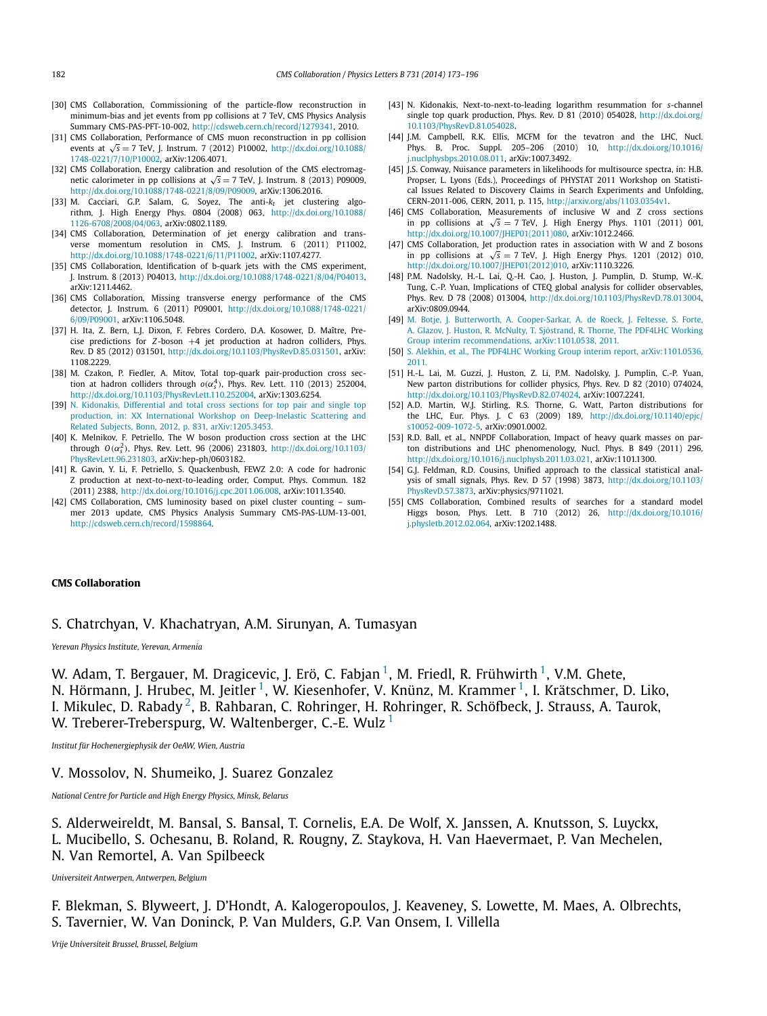- <span id="page-9-0"></span>[30] CMS Collaboration, Commissioning of the particle-flow reconstruction in minimum-bias and jet events from pp collisions at 7 TeV, CMS Physics Analysis Summary CMS-PAS-PFT-10-002, [http://cdsweb.cern.ch/record/1279341,](http://cdsweb.cern.ch/record/1279341) 2010.
- [31] CMS Collaboration, Performance of CMS muon reconstruction in pp collision events at <sup>√</sup>*<sup>s</sup>* <sup>=</sup> 7 TeV, J. Instrum. 7 (2012) P10002, [http://dx.doi.org/10.1088/](http://dx.doi.org/10.1088/1748-0221/7/10/P10002) [1748-0221/7/10/P10002](http://dx.doi.org/10.1088/1748-0221/7/10/P10002), arXiv:1206.4071.
- [32] CMS Collaboration, Energy calibration and resolution of the CMS electromagnetic calorimeter in pp collisions at  $\sqrt{s}$  = 7 TeV, J. Instrum. 8 (2013) P09009, <http://dx.doi.org/10.1088/1748-0221/8/09/P09009>, arXiv:1306.2016.
- [33] M. Cacciari, G.P. Salam, G. Soyez, The anti- $k_t$  jet clustering algorithm, J. High Energy Phys. 0804 (2008) 063, [http://dx.doi.org/10.1088/](http://dx.doi.org/10.1088/1126-6708/2008/04/063) [1126-6708/2008/04/063](http://dx.doi.org/10.1088/1126-6708/2008/04/063), arXiv:0802.1189.
- [34] CMS Collaboration, Determination of jet energy calibration and transverse momentum resolution in CMS, J. Instrum. 6 (2011) P11002, <http://dx.doi.org/10.1088/1748-0221/6/11/P11002>, arXiv:1107.4277.
- [35] CMS Collaboration, Identification of b-quark jets with the CMS experiment, J. Instrum. 8 (2013) P04013, <http://dx.doi.org/10.1088/1748-0221/8/04/P04013>, arXiv:1211.4462.
- [36] CMS Collaboration, Missing transverse energy performance of the CMS detector, J. Instrum. 6 (2011) P09001, [http://dx.doi.org/10.1088/1748-0221/](http://dx.doi.org/10.1088/1748-0221/6/09/P09001) [6/09/P09001](http://dx.doi.org/10.1088/1748-0221/6/09/P09001), arXiv:1106.5048.
- [37] H. Ita, Z. Bern, L.J. Dixon, F. Febres Cordero, D.A. Kosower, D. Maître, Precise predictions for *Z* -boson +4 jet production at hadron colliders, Phys. Rev. D 85 (2012) 031501, <http://dx.doi.org/10.1103/PhysRevD.85.031501>, arXiv: 1108.2229.
- [38] M. Czakon, P. Fiedler, A. Mitov, Total top-quark pair-production cross section at hadron colliders through  $o(\alpha_s^4)$ , Phys. Rev. Lett. 110 (2013) 252004, <http://dx.doi.org/10.1103/PhysRevLett.110.252004>, arXiv:1303.6254.
- [39] N. [Kidonakis, Differential and total cross sections for top pair and single top](http://refhub.elsevier.com/S0370-2693(14)00124-5/bib787365635F7474626172s1) [production, in: XX International Workshop on Deep-Inelastic Scattering and](http://refhub.elsevier.com/S0370-2693(14)00124-5/bib787365635F7474626172s1) [Related Subjects, Bonn, 2012, p. 831, arXiv:1205.3453.](http://refhub.elsevier.com/S0370-2693(14)00124-5/bib787365635F7474626172s1)
- [40] K. Melnikov, F. Petriello, The W boson production cross section at the LHC through *O(α*<sup>2</sup> *<sup>s</sup> )*, Phys. Rev. Lett. 96 (2006) 231803, [http://dx.doi.org/10.1103/](http://dx.doi.org/10.1103/PhysRevLett.96.231803) [PhysRevLett.96.231803](http://dx.doi.org/10.1103/PhysRevLett.96.231803), arXiv:hep-ph/0603182.
- [41] R. Gavin, Y. Li, F. Petriello, S. Quackenbush, FEWZ 2.0: A code for hadronic Z production at next-to-next-to-leading order, Comput. Phys. Commun. 182 (2011) 2388, <http://dx.doi.org/10.1016/j.cpc.2011.06.008>, arXiv:1011.3540.
- [42] CMS Collaboration, CMS luminosity based on pixel cluster counting summer 2013 update, CMS Physics Analysis Summary CMS-PAS-LUM-13-001, <http://cdsweb.cern.ch/record/1598864>.
- [43] N. Kidonakis, Next-to-next-to-leading logarithm resummation for *s*-channel single top quark production, Phys. Rev. D 81 (2010) 054028, [http://dx.doi.org/](http://dx.doi.org/10.1103/PhysRevD.81.054028) [10.1103/PhysRevD.81.054028](http://dx.doi.org/10.1103/PhysRevD.81.054028).
- [44] J.M. Campbell, R.K. Ellis, MCFM for the tevatron and the LHC, Nucl. Phys. B, Proc. Suppl. 205–206 (2010) 10, [http://dx.doi.org/10.1016/](http://dx.doi.org/10.1016/j.nuclphysbps.2010.08.011) [j.nuclphysbps.2010.08.011](http://dx.doi.org/10.1016/j.nuclphysbps.2010.08.011), arXiv:1007.3492.
- [45] J.S. Conway, Nuisance parameters in likelihoods for multisource spectra, in: H.B. Propser, L. Lyons (Eds.), Proceedings of PHYSTAT 2011 Workshop on Statistical Issues Related to Discovery Claims in Search Experiments and Unfolding, CERN-2011-006, CERN, 2011, p. 115, [http://arxiv.org/abs/1103.0354v1.](http://arxiv.org/abs/1103.0354v1)
- [46] CMS Collaboration, Measurements of inclusive W and Z cross sections in pp collisions at  $\sqrt{s}$  = 7 TeV, J. High Energy Phys. 1101 (2011) 001, [http://dx.doi.org/10.1007/JHEP01\(2011\)080](http://dx.doi.org/10.1007/JHEP01(2011)080), arXiv:1012.2466.
- [47] CMS Collaboration, Jet production rates in association with W and Z bosons in pp collisions at  $\sqrt{s}$  = 7 TeV, J. High Energy Phys. 1201 (2012) 010, [http://dx.doi.org/10.1007/JHEP01\(2012\)010](http://dx.doi.org/10.1007/JHEP01(2012)010), arXiv:1110.3226.
- [48] P.M. Nadolsky, H.-L. Lai, Q.-H. Cao, J. Huston, J. Pumplin, D. Stump, W.-K. Tung, C.-P. Yuan, Implications of CTEQ global analysis for collider observables, Phys. Rev. D 78 (2008) 013004, <http://dx.doi.org/10.1103/PhysRevD.78.013004>, arXiv:0809.0944.
- [49] M. [Botje, J. Butterworth, A. Cooper-Sarkar, A. de Roeck, J. Feltesse, S. Forte,](http://refhub.elsevier.com/S0370-2693(14)00124-5/bib426F746A653A32303131736Es1) [A. Glazov, J. Huston, R. McNulty, T. Sjöstrand, R. Thorne, The PDF4LHC Working](http://refhub.elsevier.com/S0370-2693(14)00124-5/bib426F746A653A32303131736Es1) [Group interim recommendations, arXiv:1101.0538, 2011.](http://refhub.elsevier.com/S0370-2693(14)00124-5/bib426F746A653A32303131736Es1)
- [50] S. [Alekhin, et al., The PDF4LHC Working Group interim report, arXiv:1101.0536,](http://refhub.elsevier.com/S0370-2693(14)00124-5/bib416C656B68696E3A32303131736Bs1) [2011.](http://refhub.elsevier.com/S0370-2693(14)00124-5/bib416C656B68696E3A32303131736Bs1)
- [51] H.-L. Lai, M. Guzzi, J. Huston, Z. Li, P.M. Nadolsky, J. Pumplin, C.-P. Yuan, New parton distributions for collider physics, Phys. Rev. D 82 (2010) 074024, <http://dx.doi.org/10.1103/PhysRevD.82.074024>, arXiv:1007.2241.
- [52] A.D. Martin, W.J. Stirling, R.S. Thorne, G. Watt, Parton distributions for the LHC, Eur. Phys. J. C 63 (2009) 189, [http://dx.doi.org/10.1140/epjc/](http://dx.doi.org/10.1140/epjc/s10052-009-1072-5) [s10052-009-1072-5](http://dx.doi.org/10.1140/epjc/s10052-009-1072-5), arXiv:0901.0002.
- [53] R.D. Ball, et al., NNPDF Collaboration, Impact of heavy quark masses on parton distributions and LHC phenomenology, Nucl. Phys. B 849 (2011) 296, [http://dx.doi.org/10.1016/j.nuclphysb.2011.03.021,](http://dx.doi.org/10.1016/j.nuclphysb.2011.03.021) arXiv:1101.1300.
- [54] G.J. Feldman, R.D. Cousins, Unified approach to the classical statistical analysis of small signals, Phys. Rev. D 57 (1998) 3873, [http://dx.doi.org/10.1103/](http://dx.doi.org/10.1103/PhysRevD.57.3873) [PhysRevD.57.3873,](http://dx.doi.org/10.1103/PhysRevD.57.3873) arXiv:physics/9711021.
- [55] CMS Collaboration, Combined results of searches for a standard model Higgs boson, Phys. Lett. B 710 (2012) 26, [http://dx.doi.org/10.1016/](http://dx.doi.org/10.1016/j.physletb.2012.02.064) [j.physletb.2012.02.064,](http://dx.doi.org/10.1016/j.physletb.2012.02.064) arXiv:1202.1488.

#### **CMS Collaboration**

#### S. Chatrchyan, V. Khachatryan, A.M. Sirunyan, A. Tumasyan

*Yerevan Physics Institute, Yerevan, Armenia*

W. Adam, T. Bergauer, M. Dragicevic, J. Erö, C. Fabjan<sup>[1](#page-22-0)</sup>, M. Friedl, R. Frühwirth<sup>1</sup>, V.M. Ghete, N. Hörmann, J. Hrubec, M. Jeitler <sup>1</sup>, W. Kiesenhofer, V. Knünz, M. Krammer <sup>1</sup>, I. Krätschmer, D. Liko, I. Mikulec, D. Rabady [2,](#page-23-0) B. Rahbaran, C. Rohringer, H. Rohringer, R. Schöfbeck, J. Strauss, A. Taurok, W. Treberer-Treberspurg, W. Waltenberger, C.-E. Wulz <sup>[1](#page-22-0)</sup>

*Institut für Hochenergiephysik der OeAW, Wien, Austria*

#### V. Mossolov, N. Shumeiko, J. Suarez Gonzalez

*National Centre for Particle and High Energy Physics, Minsk, Belarus*

S. Alderweireldt, M. Bansal, S. Bansal, T. Cornelis, E.A. De Wolf, X. Janssen, A. Knutsson, S. Luyckx, L. Mucibello, S. Ochesanu, B. Roland, R. Rougny, Z. Staykova, H. Van Haevermaet, P. Van Mechelen, N. Van Remortel, A. Van Spilbeeck

*Universiteit Antwerpen, Antwerpen, Belgium*

F. Blekman, S. Blyweert, J. D'Hondt, A. Kalogeropoulos, J. Keaveney, S. Lowette, M. Maes, A. Olbrechts, S. Tavernier, W. Van Doninck, P. Van Mulders, G.P. Van Onsem, I. Villella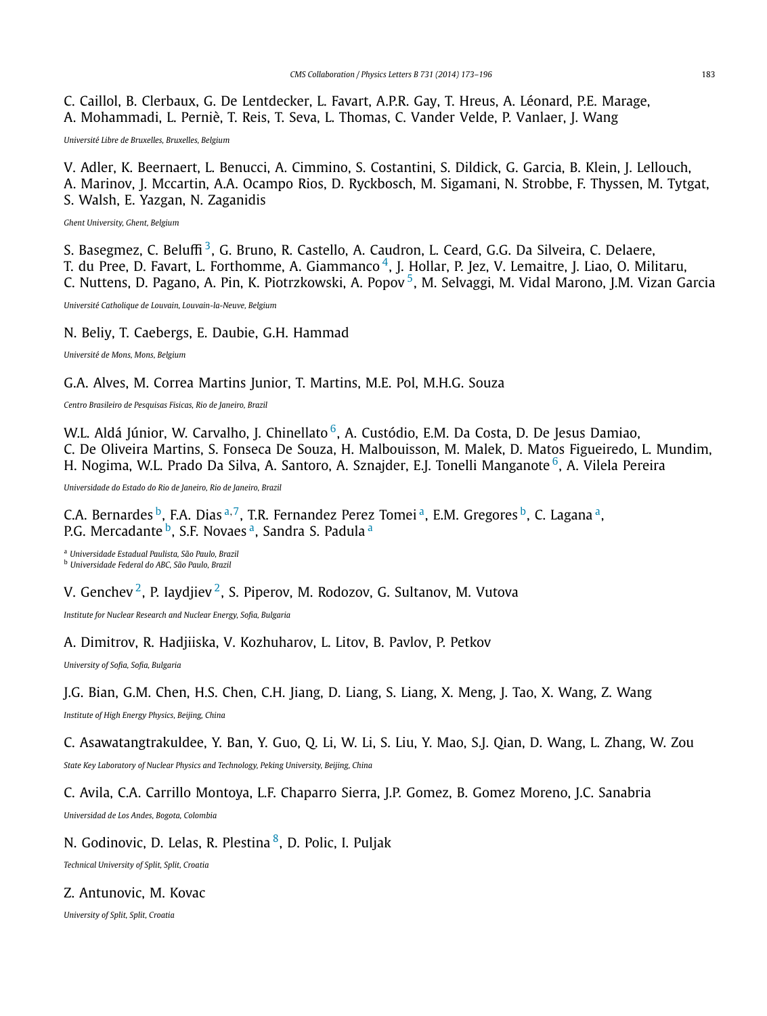C. Caillol, B. Clerbaux, G. De Lentdecker, L. Favart, A.P.R. Gay, T. Hreus, A. Léonard, P.E. Marage, A. Mohammadi, L. Perniè, T. Reis, T. Seva, L. Thomas, C. Vander Velde, P. Vanlaer, J. Wang

*Université Libre de Bruxelles, Bruxelles, Belgium*

V. Adler, K. Beernaert, L. Benucci, A. Cimmino, S. Costantini, S. Dildick, G. Garcia, B. Klein, J. Lellouch, A. Marinov, J. Mccartin, A.A. Ocampo Rios, D. Ryckbosch, M. Sigamani, N. Strobbe, F. Thyssen, M. Tytgat, S. Walsh, E. Yazgan, N. Zaganidis

*Ghent University, Ghent, Belgium*

S. Basegmez, C. Beluffi<sup>3</sup>, G. Bruno, R. Castello, A. Caudron, L. Ceard, G.G. Da Silveira, C. Delaere, T. du Pree, D. Favart, L. Forthomme, A. Giammanco<sup>4</sup>, J. Hollar, P. Jez, V. Lemaitre, J. Liao, O. Militaru, C. Nuttens, D. Pagano, A. Pin, K. Piotrzkowski, A. Popov<sup>5</sup>, M. Selvaggi, M. Vidal Marono, J.M. Vizan Garcia

*Université Catholique de Louvain, Louvain-la-Neuve, Belgium*

N. Beliy, T. Caebergs, E. Daubie, G.H. Hammad

*Université de Mons, Mons, Belgium*

### G.A. Alves, M. Correa Martins Junior, T. Martins, M.E. Pol, M.H.G. Souza

*Centro Brasileiro de Pesquisas Fisicas, Rio de Janeiro, Brazil*

W.L. Aldá Júnior, W. Carvalho, J. Chinellato<sup>6</sup>, A. Custódio, E.M. Da Costa, D. De Jesus Damiao, C. De Oliveira Martins, S. Fonseca De Souza, H. Malbouisson, M. Malek, D. Matos Figueiredo, L. Mundim, H. Nogima, W.L. Prado Da Silva, A. Santoro, A. Sznajder, E.J. Tonelli Manganote<sup>6</sup>, A. Vilela Pereira

*Universidade do Estado do Rio de Janeiro, Rio de Janeiro, Brazil*

C.A. Bernardes <sup>b</sup>, F.A. Dias <sup>a, [7](#page-23-0)</sup>, T.R. Fernandez Perez Tomei<sup>a</sup>, E.M. Gregores <sup>b</sup>, C. Lagana<sup>a</sup>, P.G. Mercadante <sup>b</sup>, S.F. Novaes <sup>a</sup>, Sandra S. Padula <sup>a</sup>

<sup>a</sup> *Universidade Estadual Paulista, São Paulo, Brazil* <sup>b</sup> *Universidade Federal do ABC, São Paulo, Brazil*

V. Genchev<sup>2</sup>, P. Iaydiiev<sup>2</sup>, S. Piperov, M. Rodozov, G. Sultanov, M. Vutova

*Institute for Nuclear Research and Nuclear Energy, Sofia, Bulgaria*

### A. Dimitrov, R. Hadjiiska, V. Kozhuharov, L. Litov, B. Pavlov, P. Petkov

*University of Sofia, Sofia, Bulgaria*

### J.G. Bian, G.M. Chen, H.S. Chen, C.H. Jiang, D. Liang, S. Liang, X. Meng, J. Tao, X. Wang, Z. Wang

*Institute of High Energy Physics, Beijing, China*

C. Asawatangtrakuldee, Y. Ban, Y. Guo, Q. Li, W. Li, S. Liu, Y. Mao, S.J. Qian, D. Wang, L. Zhang, W. Zou

*State Key Laboratory of Nuclear Physics and Technology, Peking University, Beijing, China*

## C. Avila, C.A. Carrillo Montoya, L.F. Chaparro Sierra, J.P. Gomez, B. Gomez Moreno, J.C. Sanabria

*Universidad de Los Andes, Bogota, Colombia*

# N. Godinovic, D. Lelas, R. Plestina<sup>8</sup>, D. Polic, I. Puljak

*Technical University of Split, Split, Croatia*

# Z. Antunovic, M. Kovac

*University of Split, Split, Croatia*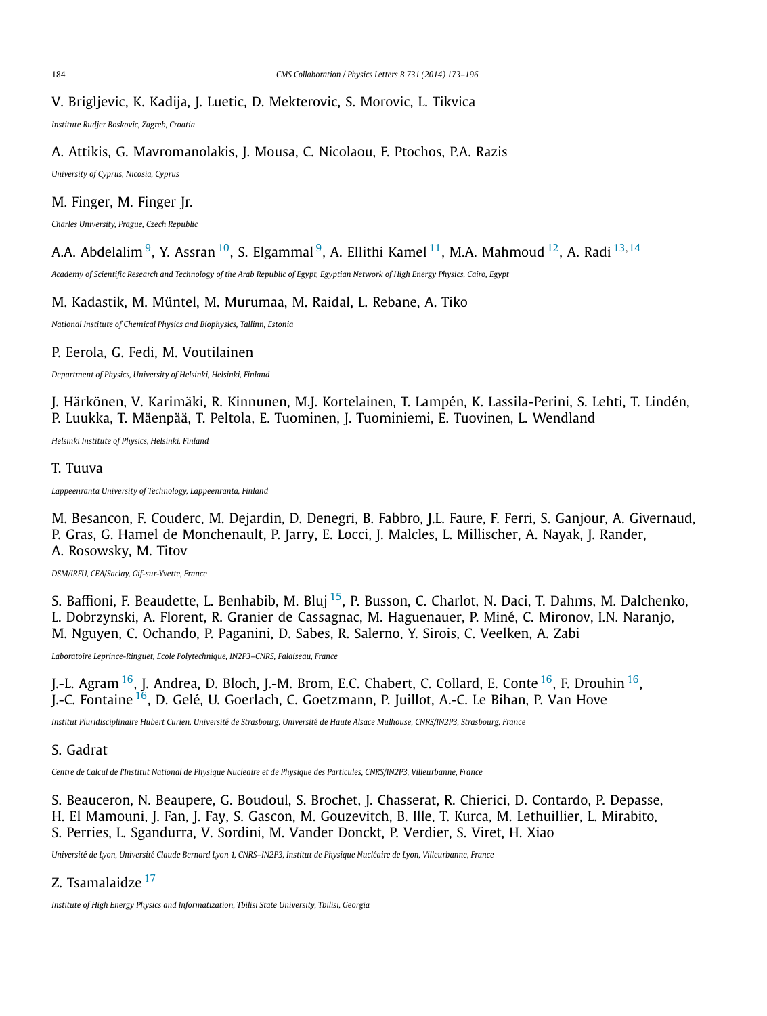### V. Brigljevic, K. Kadija, J. Luetic, D. Mekterovic, S. Morovic, L. Tikvica

*Institute Rudjer Boskovic, Zagreb, Croatia*

### A. Attikis, G. Mavromanolakis, J. Mousa, C. Nicolaou, F. Ptochos, P.A. Razis

*University of Cyprus, Nicosia, Cyprus*

#### M. Finger, M. Finger Jr.

*Charles University, Prague, Czech Republic*

# A.A. Abdelalim [9,](#page-23-0) Y. Assran [10,](#page-23-0) S. Elgammal [9,](#page-23-0) A. Ellithi Kamel [11](#page-23-0), M.A. Mahmoud [12](#page-23-0), A. Radi [13](#page-23-0)*,*[14](#page-23-0)

*Academy of Scientific Research and Technology of the Arab Republic of Egypt, Egyptian Network of High Energy Physics, Cairo, Egypt*

### M. Kadastik, M. Müntel, M. Murumaa, M. Raidal, L. Rebane, A. Tiko

*National Institute of Chemical Physics and Biophysics, Tallinn, Estonia*

### P. Eerola, G. Fedi, M. Voutilainen

*Department of Physics, University of Helsinki, Helsinki, Finland*

J. Härkönen, V. Karimäki, R. Kinnunen, M.J. Kortelainen, T. Lampén, K. Lassila-Perini, S. Lehti, T. Lindén, P. Luukka, T. Mäenpää, T. Peltola, E. Tuominen, J. Tuominiemi, E. Tuovinen, L. Wendland

*Helsinki Institute of Physics, Helsinki, Finland*

### T. Tuuva

*Lappeenranta University of Technology, Lappeenranta, Finland*

M. Besancon, F. Couderc, M. Dejardin, D. Denegri, B. Fabbro, J.L. Faure, F. Ferri, S. Ganjour, A. Givernaud, P. Gras, G. Hamel de Monchenault, P. Jarry, E. Locci, J. Malcles, L. Millischer, A. Nayak, J. Rander, A. Rosowsky, M. Titov

*DSM/IRFU, CEA/Saclay, Gif-sur-Yvette, France*

S. Baffioni, F. Beaudette, L. Benhabib, M. Bluj <sup>15</sup>, P. Busson, C. Charlot, N. Daci, T. Dahms, M. Dalchenko, L. Dobrzynski, A. Florent, R. Granier de Cassagnac, M. Haguenauer, P. Miné, C. Mironov, I.N. Naranjo, M. Nguyen, C. Ochando, P. Paganini, D. Sabes, R. Salerno, Y. Sirois, C. Veelken, A. Zabi

*Laboratoire Leprince-Ringuet, Ecole Polytechnique, IN2P3–CNRS, Palaiseau, France*

J.-L. Agram <sup>[16](#page-23-0)</sup>, J. Andrea, D. Bloch, J.-M. Brom, E.C. Chabert, C. Collard, E. Conte <sup>16</sup>, F. Drouhin <sup>16</sup>, J.-C. Fontaine <sup>16</sup>, D. Gelé, U. Goerlach, C. Goetzmann, P. Juillot, A.-C. Le Bihan, P. Van Hove

*Institut Pluridisciplinaire Hubert Curien, Université de Strasbourg, Université de Haute Alsace Mulhouse, CNRS/IN2P3, Strasbourg, France*

### S. Gadrat

*Centre de Calcul de l'Institut National de Physique Nucleaire et de Physique des Particules, CNRS/IN2P3, Villeurbanne, France*

S. Beauceron, N. Beaupere, G. Boudoul, S. Brochet, J. Chasserat, R. Chierici, D. Contardo, P. Depasse, H. El Mamouni, J. Fan, J. Fay, S. Gascon, M. Gouzevitch, B. Ille, T. Kurca, M. Lethuillier, L. Mirabito, S. Perries, L. Sgandurra, V. Sordini, M. Vander Donckt, P. Verdier, S. Viret, H. Xiao

*Université de Lyon, Université Claude Bernard Lyon 1, CNRS–IN2P3, Institut de Physique Nucléaire de Lyon, Villeurbanne, France*

# Z. Tsamalaidze<sup>[17](#page-23-0)</sup>

*Institute of High Energy Physics and Informatization, Tbilisi State University, Tbilisi, Georgia*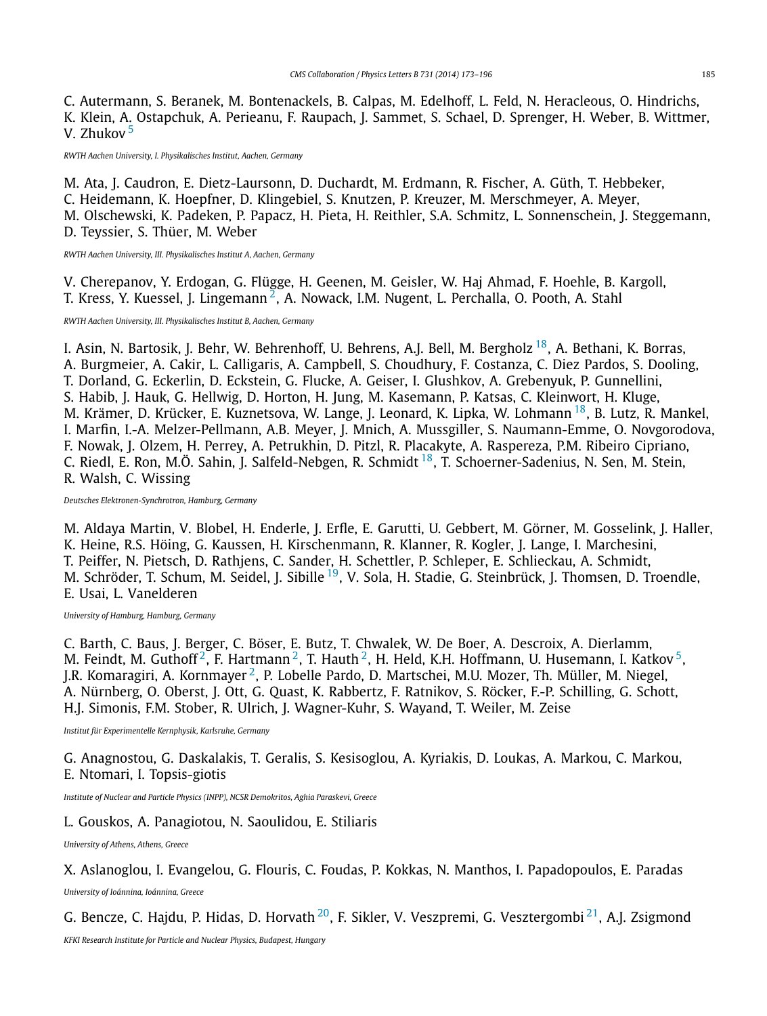C. Autermann, S. Beranek, M. Bontenackels, B. Calpas, M. Edelhoff, L. Feld, N. Heracleous, O. Hindrichs, K. Klein, A. Ostapchuk, A. Perieanu, F. Raupach, J. Sammet, S. Schael, D. Sprenger, H. Weber, B. Wittmer, V. Zhukov [5](#page-23-0)

*RWTH Aachen University, I. Physikalisches Institut, Aachen, Germany*

M. Ata, J. Caudron, E. Dietz-Laursonn, D. Duchardt, M. Erdmann, R. Fischer, A. Güth, T. Hebbeker, C. Heidemann, K. Hoepfner, D. Klingebiel, S. Knutzen, P. Kreuzer, M. Merschmeyer, A. Meyer, M. Olschewski, K. Padeken, P. Papacz, H. Pieta, H. Reithler, S.A. Schmitz, L. Sonnenschein, J. Steggemann, D. Teyssier, S. Thüer, M. Weber

*RWTH Aachen University, III. Physikalisches Institut A, Aachen, Germany*

V. Cherepanov, Y. Erdogan, G. Flügge, H. Geenen, M. Geisler, W. Haj Ahmad, F. Hoehle, B. Kargoll, T. Kress, Y. Kuessel, J. Lingemann<sup>2</sup>, A. Nowack, I.M. Nugent, L. Perchalla, O. Pooth, A. Stahl

*RWTH Aachen University, III. Physikalisches Institut B, Aachen, Germany*

I. Asin, N. Bartosik, J. Behr, W. Behrenhoff, U. Behrens, A.J. Bell, M. Bergholz<sup>18</sup>, A. Bethani, K. Borras, A. Burgmeier, A. Cakir, L. Calligaris, A. Campbell, S. Choudhury, F. Costanza, C. Diez Pardos, S. Dooling, T. Dorland, G. Eckerlin, D. Eckstein, G. Flucke, A. Geiser, I. Glushkov, A. Grebenyuk, P. Gunnellini, S. Habib, J. Hauk, G. Hellwig, D. Horton, H. Jung, M. Kasemann, P. Katsas, C. Kleinwort, H. Kluge, M. Krämer, D. Krücker, E. Kuznetsova, W. Lange, J. Leonard, K. Lipka, W. Lohmann [18,](#page-23-0) B. Lutz, R. Mankel, I. Marfin, I.-A. Melzer-Pellmann, A.B. Meyer, J. Mnich, A. Mussgiller, S. Naumann-Emme, O. Novgorodova, F. Nowak, J. Olzem, H. Perrey, A. Petrukhin, D. Pitzl, R. Placakyte, A. Raspereza, P.M. Ribeiro Cipriano, C. Riedl, E. Ron, M.Ö. Sahin, J. Salfeld-Nebgen, R. Schmidt [18,](#page-23-0) T. Schoerner-Sadenius, N. Sen, M. Stein, R. Walsh, C. Wissing

*Deutsches Elektronen-Synchrotron, Hamburg, Germany*

M. Aldaya Martin, V. Blobel, H. Enderle, J. Erfle, E. Garutti, U. Gebbert, M. Görner, M. Gosselink, J. Haller, K. Heine, R.S. Höing, G. Kaussen, H. Kirschenmann, R. Klanner, R. Kogler, J. Lange, I. Marchesini, T. Peiffer, N. Pietsch, D. Rathjens, C. Sander, H. Schettler, P. Schleper, E. Schlieckau, A. Schmidt, M. Schröder, T. Schum, M. Seidel, J. Sibille <sup>19</sup>, V. Sola, H. Stadie, G. Steinbrück, J. Thomsen, D. Troendle, E. Usai, L. Vanelderen

*University of Hamburg, Hamburg, Germany*

C. Barth, C. Baus, J. Berger, C. Böser, E. Butz, T. Chwalek, W. De Boer, A. Descroix, A. Dierlamm, M. Feindt, M. Guthoff<sup>2</sup>, F. Hartmann<sup>2</sup>, T. Hauth<sup>2</sup>, H. Held, K.H. Hoffmann, U. Husemann, I. Katkov<sup>5</sup>, J.R. Komaragiri, A. Kornmayer [2,](#page-23-0) P. Lobelle Pardo, D. Martschei, M.U. Mozer, Th. Müller, M. Niegel, A. Nürnberg, O. Oberst, J. Ott, G. Quast, K. Rabbertz, F. Ratnikov, S. Röcker, F.-P. Schilling, G. Schott, H.J. Simonis, F.M. Stober, R. Ulrich, J. Wagner-Kuhr, S. Wayand, T. Weiler, M. Zeise

*Institut für Experimentelle Kernphysik, Karlsruhe, Germany*

G. Anagnostou, G. Daskalakis, T. Geralis, S. Kesisoglou, A. Kyriakis, D. Loukas, A. Markou, C. Markou, E. Ntomari, I. Topsis-giotis

*Institute of Nuclear and Particle Physics (INPP), NCSR Demokritos, Aghia Paraskevi, Greece*

L. Gouskos, A. Panagiotou, N. Saoulidou, E. Stiliaris

*University of Athens, Athens, Greece*

X. Aslanoglou, I. Evangelou, G. Flouris, C. Foudas, P. Kokkas, N. Manthos, I. Papadopoulos, E. Paradas

*University of Ioánnina, Ioánnina, Greece*

G. Bencze, C. Hajdu, P. Hidas, D. Horvath [20,](#page-23-0) F. Sikler, V. Veszpremi, G. Vesztergombi [21,](#page-23-0) A.J. Zsigmond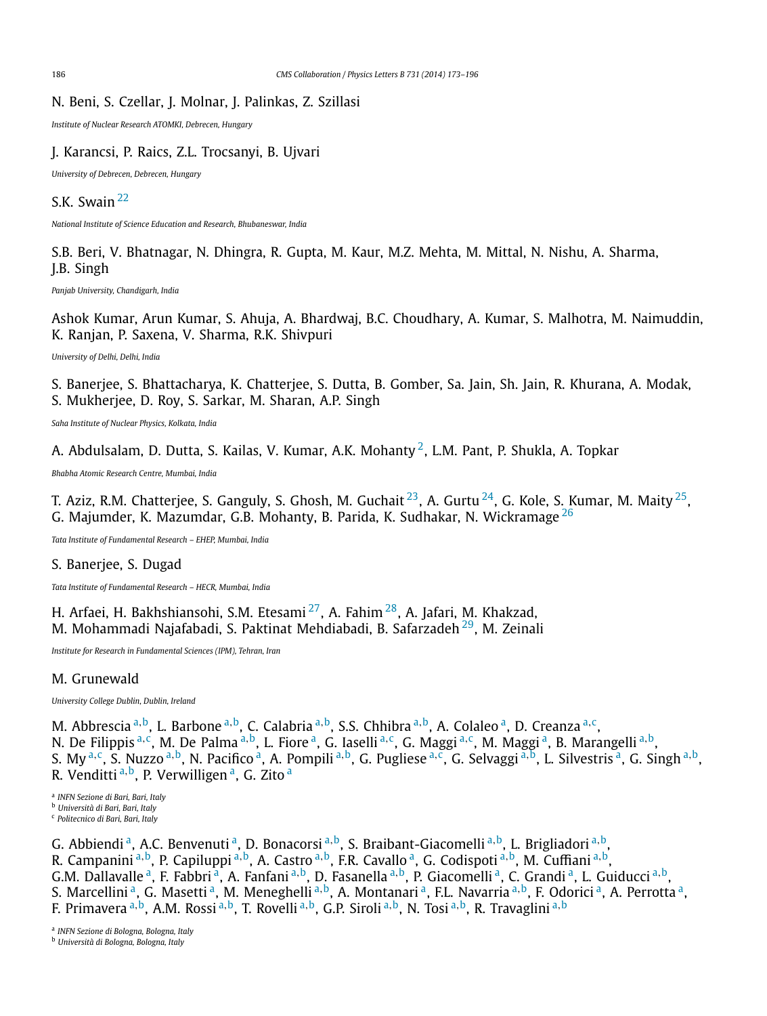### N. Beni, S. Czellar, J. Molnar, J. Palinkas, Z. Szillasi

*Institute of Nuclear Research ATOMKI, Debrecen, Hungary*

### J. Karancsi, P. Raics, Z.L. Trocsanyi, B. Ujvari

*University of Debrecen, Debrecen, Hungary*

# S.K. Swain [22](#page-23-0)

*National Institute of Science Education and Research, Bhubaneswar, India*

S.B. Beri, V. Bhatnagar, N. Dhingra, R. Gupta, M. Kaur, M.Z. Mehta, M. Mittal, N. Nishu, A. Sharma, J.B. Singh

*Panjab University, Chandigarh, India*

Ashok Kumar, Arun Kumar, S. Ahuja, A. Bhardwaj, B.C. Choudhary, A. Kumar, S. Malhotra, M. Naimuddin, K. Ranjan, P. Saxena, V. Sharma, R.K. Shivpuri

*University of Delhi, Delhi, India*

S. Banerjee, S. Bhattacharya, K. Chatterjee, S. Dutta, B. Gomber, Sa. Jain, Sh. Jain, R. Khurana, A. Modak, S. Mukherjee, D. Roy, S. Sarkar, M. Sharan, A.P. Singh

*Saha Institute of Nuclear Physics, Kolkata, India*

A. Abdulsalam, D. Dutta, S. Kailas, V. Kumar, A.K. Mohanty [2,](#page-23-0) L.M. Pant, P. Shukla, A. Topkar

*Bhabha Atomic Research Centre, Mumbai, India*

T. Aziz, R.M. Chatterjee, S. Ganguly, S. Ghosh, M. Guchait<sup>[23](#page-23-0)</sup>, A. Gurtu<sup>[24](#page-23-0)</sup>, G. Kole, S. Kumar, M. Maity<sup>25</sup>, G. Majumder, K. Mazumdar, G.B. Mohanty, B. Parida, K. Sudhakar, N. Wickramage [26](#page-23-0)

*Tata Institute of Fundamental Research – EHEP, Mumbai, India*

### S. Banerjee, S. Dugad

*Tata Institute of Fundamental Research – HECR, Mumbai, India*

H. Arfaei, H. Bakhshiansohi, S.M. Etesami<sup>27</sup>, A. Fahim<sup>[28](#page-23-0)</sup>, A. Jafari, M. Khakzad, M. Mohammadi Najafabadi, S. Paktinat Mehdiabadi, B. Safarzadeh<sup>29</sup>, M. Zeinali

*Institute for Research in Fundamental Sciences (IPM), Tehran, Iran*

#### M. Grunewald

*University College Dublin, Dublin, Ireland*

M. Abbrescia <sup>a</sup>*,*b, L. Barbone <sup>a</sup>*,*b, C. Calabria <sup>a</sup>*,*b, S.S. Chhibra <sup>a</sup>*,*b, A. Colaleo a, D. Creanza <sup>a</sup>*,*c, N. De Filippis <sup>a</sup>*,*c, M. De Palma <sup>a</sup>*,*b, L. Fiore a, G. Iaselli <sup>a</sup>*,*c, G. Maggi <sup>a</sup>*,*c, M. Maggi a, B. Marangelli <sup>a</sup>*,*b, S. My <sup>a</sup>*,*c, S. Nuzzo <sup>a</sup>*,*b, N. Pacifico a, A. Pompili <sup>a</sup>*,*b, G. Pugliese <sup>a</sup>*,*c, G. Selvaggi <sup>a</sup>*,*b, L. Silvestris a, G. Singh <sup>a</sup>*,*b, R. Venditti a, b, P. Verwilligen <sup>a</sup>, G. Zito <sup>a</sup>

<sup>a</sup> *INFN Sezione di Bari, Bari, Italy*

<sup>c</sup> *Politecnico di Bari, Bari, Italy*

<sup>b</sup> *Università di Bologna, Bologna, Italy*

<sup>b</sup> *Università di Bari, Bari, Italy*

G. Abbiendi a, A.C. Benvenuti a, D. Bonacorsi <sup>a</sup>*,*b, S. Braibant-Giacomelli <sup>a</sup>*,*b, L. Brigliadori <sup>a</sup>*,*b, R. Campanini <sup>a</sup>*,*b, P. Capiluppi <sup>a</sup>*,*b, A. Castro <sup>a</sup>*,*b, F.R. Cavallo a, G. Codispoti <sup>a</sup>*,*b, M. Cuffiani <sup>a</sup>*,*b, G.M. Dallavalle <sup>a</sup>, F. Fabbri <sup>a</sup>, A. Fanfani <sup>a,b</sup>, D. Fasanella <sup>a,b</sup>, P. Giacomelli <sup>a</sup>, C. Grandi <sup>a</sup>, L. Guiducci <sup>a,b</sup>, S. Marcellini<sup>a</sup>, G. Masetti<sup>a</sup>, M. Meneghelli<sup>a,b</sup>, A. Montanari<sup>a</sup>, F.L. Navarria<sup>a,b</sup>, F. Odorici<sup>a</sup>, A. Perrotta<sup>a</sup>, F. Primavera <sup>a</sup>*,*b, A.M. Rossi <sup>a</sup>*,*b, T. Rovelli <sup>a</sup>*,*b, G.P. Siroli <sup>a</sup>*,*b, N. Tosi <sup>a</sup>*,*b, R. Travaglini <sup>a</sup>*,*<sup>b</sup>

<sup>a</sup> *INFN Sezione di Bologna, Bologna, Italy*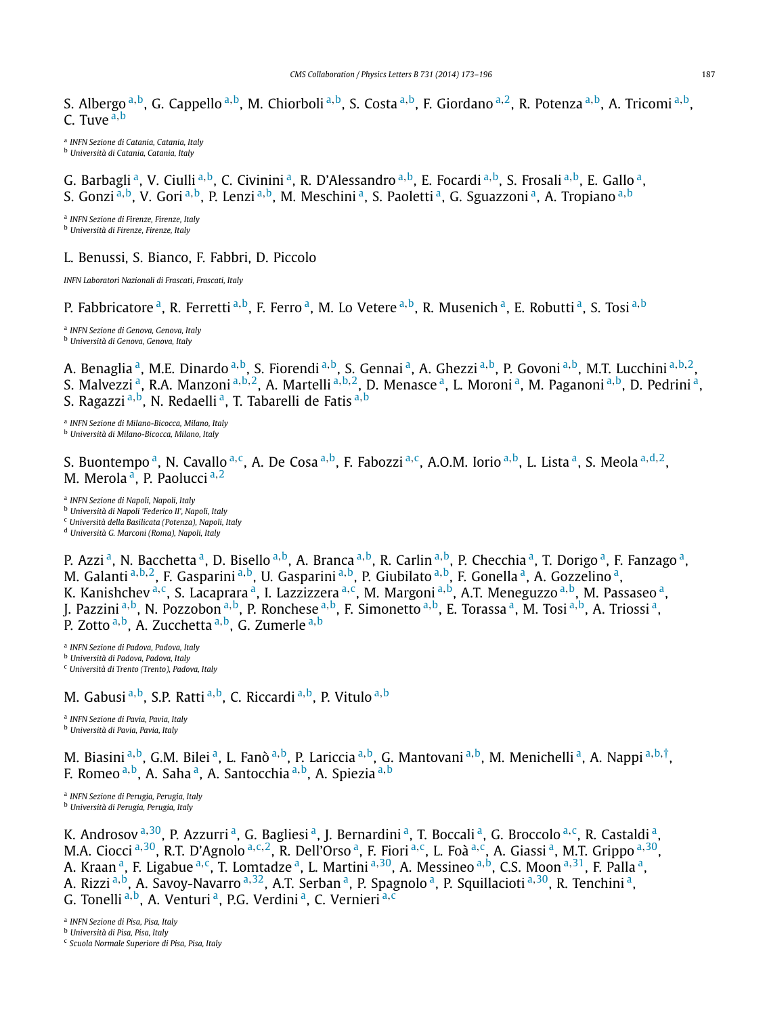S. Albergo <sup>a</sup>*,*b, G. Cappello <sup>a</sup>*,*b, M. Chiorboli <sup>a</sup>*,*b, S. Costa <sup>a</sup>*,*b, F. Giordano <sup>a</sup>*,*[2,](#page-23-0) R. Potenza <sup>a</sup>*,*b, A. Tricomi <sup>a</sup>*,*b, C. Tuve <sup>a</sup>*,*<sup>b</sup>

<sup>a</sup> *INFN Sezione di Catania, Catania, Italy* <sup>b</sup> *Università di Catania, Catania, Italy*

G. Barbagli a, V. Ciulli <sup>a</sup>*,*b, C. Civinini a, R. D'Alessandro <sup>a</sup>*,*b, E. Focardi <sup>a</sup>*,*b, S. Frosali <sup>a</sup>*,*b, E. Gallo a, S. Gonzi <sup>a</sup>*,*b, V. Gori <sup>a</sup>*,*b, P. Lenzi <sup>a</sup>*,*b, M. Meschini a, S. Paoletti a, G. Sguazzoni a, A. Tropiano <sup>a</sup>*,*<sup>b</sup>

<sup>a</sup> *INFN Sezione di Firenze, Firenze, Italy* <sup>b</sup> *Università di Firenze, Firenze, Italy*

#### L. Benussi, S. Bianco, F. Fabbri, D. Piccolo

*INFN Laboratori Nazionali di Frascati, Frascati, Italy*

P. Fabbricatore a, R. Ferretti <sup>a</sup>*,*b, F. Ferro a, M. Lo Vetere <sup>a</sup>*,*b, R. Musenich a, E. Robutti a, S. Tosi <sup>a</sup>*,*<sup>b</sup>

<sup>a</sup> *INFN Sezione di Genova, Genova, Italy* <sup>b</sup> *Università di Genova, Genova, Italy*

A. Benaglia a, M.E. Dinardo <sup>a</sup>*,*b, S. Fiorendi <sup>a</sup>*,*b, S. Gennai a, A. Ghezzi <sup>a</sup>*,*b, P. Govoni <sup>a</sup>*,*b, M.T. Lucchini <sup>a</sup>*,*b*,*[2,](#page-23-0) S. Malvezzi a, R.A. Manzoni <sup>a</sup>*,*b*,*[2,](#page-23-0) A. Martelli <sup>a</sup>*,*b*,*[2,](#page-23-0) D. Menasce a, L. Moroni a, M. Paganoni <sup>a</sup>*,*b, D. Pedrini a, S. Ragazzi <sup>a</sup>*,*b, N. Redaelli a, T. Tabarelli de Fatis <sup>a</sup>*,*<sup>b</sup>

<sup>a</sup> *INFN Sezione di Milano-Bicocca, Milano, Italy*

<sup>b</sup> *Università di Milano-Bicocca, Milano, Italy*

S. Buontempo a, N. Cavallo <sup>a</sup>*,*c, A. De Cosa <sup>a</sup>*,*b, F. Fabozzi <sup>a</sup>*,*c, A.O.M. Iorio <sup>a</sup>*,*b, L. Lista a, S. Meola <sup>a</sup>*,*d*,*[2,](#page-23-0) M. Merola a, P. Paolucci <sup>a</sup>*,*[2](#page-23-0)

<sup>a</sup> *INFN Sezione di Napoli, Napoli, Italy*

<sup>b</sup> *Università di Napoli 'Federico II', Napoli, Italy*

<sup>c</sup> *Università della Basilicata (Potenza), Napoli, Italy*

<sup>d</sup> *Università G. Marconi (Roma), Napoli, Italy*

P. Azzi<sup>a</sup>, N. Bacchetta<sup>a</sup>, D. Bisello<sup>a,b</sup>, A. Branca<sup>a,b</sup>, R. Carlin<sup>a,b</sup>, P. Checchia<sup>a</sup>, T. Dorigo<sup>a</sup>, F. Fanzago<sup>a</sup>, M. Galanti <sup>a</sup>*,*b*,*[2,](#page-23-0) F. Gasparini <sup>a</sup>*,*b, U. Gasparini <sup>a</sup>*,*b, P. Giubilato <sup>a</sup>*,*b, F. Gonella a, A. Gozzelino a, K. Kanishchev <sup>a</sup>*,*c, S. Lacaprara a, I. Lazzizzera <sup>a</sup>*,*c, M. Margoni <sup>a</sup>*,*b, A.T. Meneguzzo <sup>a</sup>*,*b, M. Passaseo a, J. Pazzini <sup>a</sup>*,*b, N. Pozzobon <sup>a</sup>*,*b, P. Ronchese <sup>a</sup>*,*b, F. Simonetto <sup>a</sup>*,*b, E. Torassa a, M. Tosi <sup>a</sup>*,*b, A. Triossi a, P. Zotto <sup>a</sup>*,*b, A. Zucchetta <sup>a</sup>*,*b, G. Zumerle <sup>a</sup>*,*<sup>b</sup>

<sup>a</sup> *INFN Sezione di Padova, Padova, Italy*

<sup>b</sup> *Università di Padova, Padova, Italy*

<sup>c</sup> *Università di Trento (Trento), Padova, Italy*

M. Gabusi <sup>a</sup>*,*b, S.P. Ratti <sup>a</sup>*,*b, C. Riccardi <sup>a</sup>*,*b, P. Vitulo <sup>a</sup>*,*<sup>b</sup>

<sup>a</sup> *INFN Sezione di Pavia, Pavia, Italy*

<sup>b</sup> *Università di Pavia, Pavia, Italy*

M. Biasini <sup>a</sup>*,*b, G.M. Bilei a, L. Fanò <sup>a</sup>*,*b, P. Lariccia <sup>a</sup>*,*b, G. Mantovani <sup>a</sup>*,*b, M. Menichelli a, A. Nappi <sup>a</sup>*,*b*,*[†,](#page-22-0) F. Romeo <sup>a</sup>*,*b, A. Saha a, A. Santocchia <sup>a</sup>*,*b, A. Spiezia <sup>a</sup>*,*<sup>b</sup>

<sup>a</sup> *INFN Sezione di Perugia, Perugia, Italy* <sup>b</sup> *Università di Perugia, Perugia, Italy*

K. Androsov a, <sup>30</sup>, P. Azzurri <sup>a</sup>, G. Bagliesi <sup>a</sup>, J. Bernardini <sup>a</sup>, T. Boccali <sup>a</sup>, G. Broccolo a,c, R. Castaldi a, M.A. Ciocci <sup>a</sup>*,*[30](#page-23-0), R.T. D'Agnolo <sup>a</sup>*,*c*,*[2,](#page-23-0) R. Dell'Orso a, F. Fiori <sup>a</sup>*,*c, L. Foà <sup>a</sup>*,*c, A. Giassi a, M.T. Grippo <sup>a</sup>*,*[30,](#page-23-0) A. Kraan a, F. Ligabue <sup>a</sup>*,*c, T. Lomtadze a, L. Martini <sup>a</sup>*,*[30,](#page-23-0) A. Messineo <sup>a</sup>*,*b, C.S. Moon <sup>a</sup>*,*[31,](#page-23-0) F. Palla a, A. Rizzi <sup>a</sup>*,*b, A. Savoy-Navarro <sup>a</sup>*,*[32,](#page-23-0) A.T. Serban a, P. Spagnolo a, P. Squillacioti <sup>a</sup>*,*[30,](#page-23-0) R. Tenchini a, G. Tonelli <sup>a</sup>*,*b, A. Venturi a, P.G. Verdini a, C. Vernieri <sup>a</sup>*,*<sup>c</sup>

<sup>a</sup> *INFN Sezione di Pisa, Pisa, Italy*

<sup>b</sup> *Università di Pisa, Pisa, Italy*

<sup>c</sup> *Scuola Normale Superiore di Pisa, Pisa, Italy*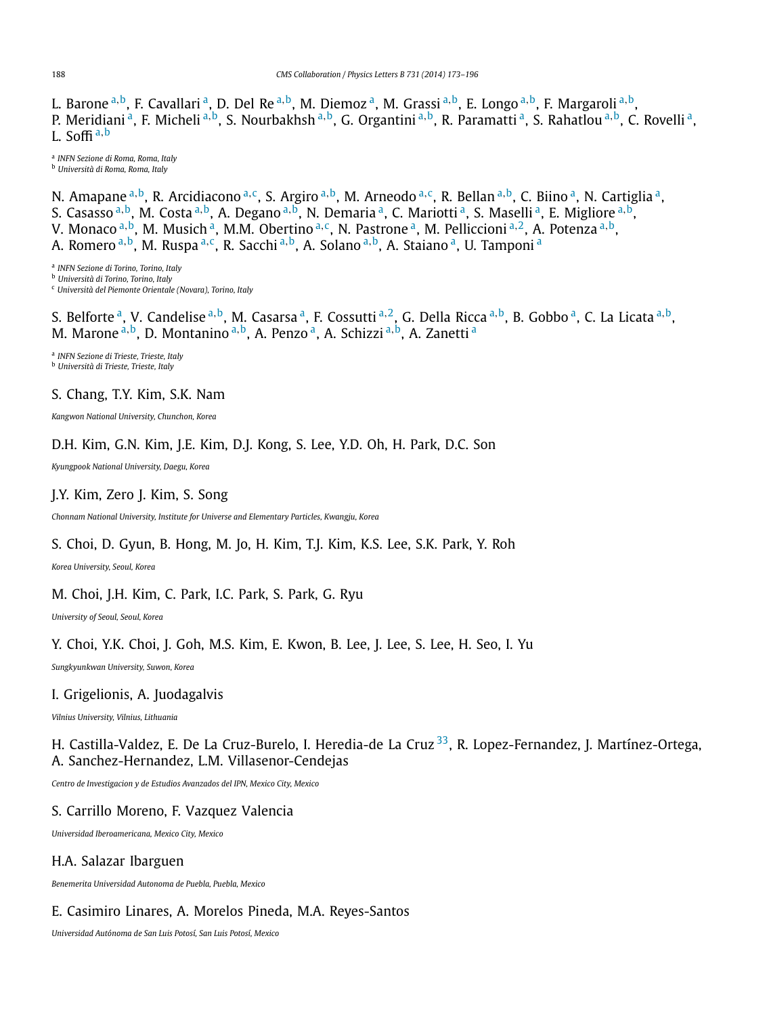L. Barone a,b, F. Cavallari <sup>a</sup>, D. Del Re a,b, M. Diemoz <sup>a</sup>, M. Grassi a,b, E. Longo a,b, F. Margaroli a,b, P. Meridiani a, F. Micheli <sup>a</sup>*,*b, S. Nourbakhsh <sup>a</sup>*,*b, G. Organtini <sup>a</sup>*,*b, R. Paramatti a, S. Rahatlou <sup>a</sup>*,*b, C. Rovelli a, L. Soffi<sup>a,b</sup>

<sup>a</sup> *INFN Sezione di Roma, Roma, Italy* <sup>b</sup> *Università di Roma, Roma, Italy*

N. Amapane <sup>a</sup>*,*b, R. Arcidiacono <sup>a</sup>*,*c, S. Argiro <sup>a</sup>*,*b, M. Arneodo <sup>a</sup>*,*c, R. Bellan <sup>a</sup>*,*b, C. Biino a, N. Cartiglia a, S. Casasso <sup>a</sup>*,*b, M. Costa <sup>a</sup>*,*b, A. Degano <sup>a</sup>*,*b, N. Demaria a, C. Mariotti a, S. Maselli a, E. Migliore <sup>a</sup>*,*b, V. Monaco <sup>a</sup>*,*b, M. Musich a, M.M. Obertino <sup>a</sup>*,*c, N. Pastrone a, M. Pelliccioni <sup>a</sup>*,*[2,](#page-23-0) A. Potenza <sup>a</sup>*,*b, A. Romero <sup>a</sup>*,*b, M. Ruspa <sup>a</sup>*,*c, R. Sacchi <sup>a</sup>*,*b, A. Solano <sup>a</sup>*,*b, A. Staiano a, U. Tamponi <sup>a</sup>

<sup>a</sup> *INFN Sezione di Torino, Torino, Italy*

<sup>b</sup> *Università di Torino, Torino, Italy* <sup>c</sup> *Università del Piemonte Orientale (Novara), Torino, Italy*

S. Belforte a, V. Candelise <sup>a</sup>*,*b, M. Casarsa a, F. Cossutti <sup>a</sup>*,*[2,](#page-23-0) G. Della Ricca <sup>a</sup>*,*b, B. Gobbo a, C. La Licata <sup>a</sup>*,*b, M. Marone <sup>a</sup>*,*b, D. Montanino <sup>a</sup>*,*b, A. Penzo a, A. Schizzi <sup>a</sup>*,*b, A. Zanetti <sup>a</sup>

<sup>a</sup> *INFN Sezione di Trieste, Trieste, Italy* <sup>b</sup> *Università di Trieste, Trieste, Italy*

### S. Chang, T.Y. Kim, S.K. Nam

*Kangwon National University, Chunchon, Korea*

### D.H. Kim, G.N. Kim, J.E. Kim, D.J. Kong, S. Lee, Y.D. Oh, H. Park, D.C. Son

*Kyungpook National University, Daegu, Korea*

### J.Y. Kim, Zero J. Kim, S. Song

*Chonnam National University, Institute for Universe and Elementary Particles, Kwangju, Korea*

### S. Choi, D. Gyun, B. Hong, M. Jo, H. Kim, T.J. Kim, K.S. Lee, S.K. Park, Y. Roh

*Korea University, Seoul, Korea*

### M. Choi, J.H. Kim, C. Park, I.C. Park, S. Park, G. Ryu

*University of Seoul, Seoul, Korea*

### Y. Choi, Y.K. Choi, J. Goh, M.S. Kim, E. Kwon, B. Lee, J. Lee, S. Lee, H. Seo, I. Yu

*Sungkyunkwan University, Suwon, Korea*

### I. Grigelionis, A. Juodagalvis

*Vilnius University, Vilnius, Lithuania*

# H. Castilla-Valdez, E. De La Cruz-Burelo, I. Heredia-de La Cruz<sup>[33](#page-23-0)</sup>, R. Lopez-Fernandez, J. Martínez-Ortega, A. Sanchez-Hernandez, L.M. Villasenor-Cendejas

*Centro de Investigacion y de Estudios Avanzados del IPN, Mexico City, Mexico*

# S. Carrillo Moreno, F. Vazquez Valencia

*Universidad Iberoamericana, Mexico City, Mexico*

### H.A. Salazar Ibarguen

*Benemerita Universidad Autonoma de Puebla, Puebla, Mexico*

# E. Casimiro Linares, A. Morelos Pineda, M.A. Reyes-Santos

*Universidad Autónoma de San Luis Potosí, San Luis Potosí, Mexico*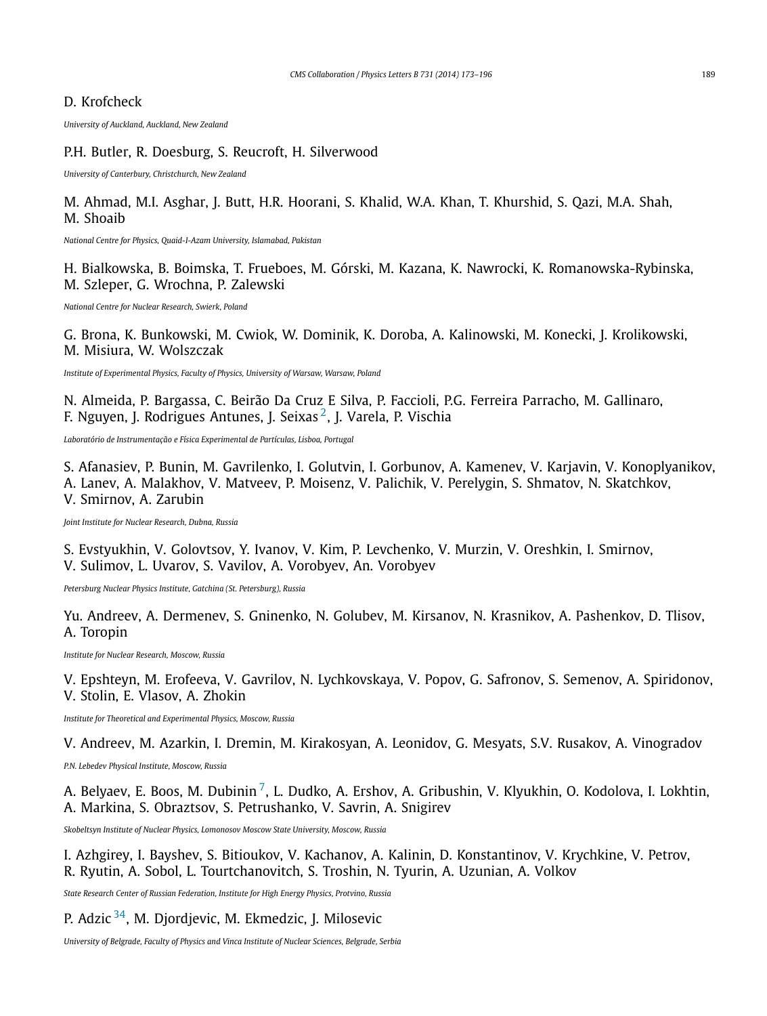### D. Krofcheck

*University of Auckland, Auckland, New Zealand*

### P.H. Butler, R. Doesburg, S. Reucroft, H. Silverwood

*University of Canterbury, Christchurch, New Zealand*

### M. Ahmad, M.I. Asghar, J. Butt, H.R. Hoorani, S. Khalid, W.A. Khan, T. Khurshid, S. Qazi, M.A. Shah, M. Shoaib

*National Centre for Physics, Quaid-I-Azam University, Islamabad, Pakistan*

H. Bialkowska, B. Boimska, T. Frueboes, M. Górski, M. Kazana, K. Nawrocki, K. Romanowska-Rybinska, M. Szleper, G. Wrochna, P. Zalewski

*National Centre for Nuclear Research, Swierk, Poland*

G. Brona, K. Bunkowski, M. Cwiok, W. Dominik, K. Doroba, A. Kalinowski, M. Konecki, J. Krolikowski, M. Misiura, W. Wolszczak

*Institute of Experimental Physics, Faculty of Physics, University of Warsaw, Warsaw, Poland*

N. Almeida, P. Bargassa, C. Beirão Da Cruz E Silva, P. Faccioli, P.G. Ferreira Parracho, M. Gallinaro, F. Nguyen, J. Rodrigues Antunes, J. Seixas<sup>2</sup>, J. Varela, P. Vischia

*Laboratório de Instrumentação e Física Experimental de Partículas, Lisboa, Portugal*

S. Afanasiev, P. Bunin, M. Gavrilenko, I. Golutvin, I. Gorbunov, A. Kamenev, V. Karjavin, V. Konoplyanikov, A. Lanev, A. Malakhov, V. Matveev, P. Moisenz, V. Palichik, V. Perelygin, S. Shmatov, N. Skatchkov, V. Smirnov, A. Zarubin

*Joint Institute for Nuclear Research, Dubna, Russia*

S. Evstyukhin, V. Golovtsov, Y. Ivanov, V. Kim, P. Levchenko, V. Murzin, V. Oreshkin, I. Smirnov, V. Sulimov, L. Uvarov, S. Vavilov, A. Vorobyev, An. Vorobyev

*Petersburg Nuclear Physics Institute, Gatchina (St. Petersburg), Russia*

Yu. Andreev, A. Dermenev, S. Gninenko, N. Golubev, M. Kirsanov, N. Krasnikov, A. Pashenkov, D. Tlisov, A. Toropin

*Institute for Nuclear Research, Moscow, Russia*

V. Epshteyn, M. Erofeeva, V. Gavrilov, N. Lychkovskaya, V. Popov, G. Safronov, S. Semenov, A. Spiridonov, V. Stolin, E. Vlasov, A. Zhokin

*Institute for Theoretical and Experimental Physics, Moscow, Russia*

V. Andreev, M. Azarkin, I. Dremin, M. Kirakosyan, A. Leonidov, G. Mesyats, S.V. Rusakov, A. Vinogradov

*P.N. Lebedev Physical Institute, Moscow, Russia*

A. Belyaev, E. Boos, M. Dubinin<sup>7</sup>, L. Dudko, A. Ershov, A. Gribushin, V. Klyukhin, O. Kodolova, I. Lokhtin, A. Markina, S. Obraztsov, S. Petrushanko, V. Savrin, A. Snigirev

*Skobeltsyn Institute of Nuclear Physics, Lomonosov Moscow State University, Moscow, Russia*

I. Azhgirey, I. Bayshev, S. Bitioukov, V. Kachanov, A. Kalinin, D. Konstantinov, V. Krychkine, V. Petrov, R. Ryutin, A. Sobol, L. Tourtchanovitch, S. Troshin, N. Tyurin, A. Uzunian, A. Volkov

*State Research Center of Russian Federation, Institute for High Energy Physics, Protvino, Russia*

P. Adzic  $34$ , M. Djordjevic, M. Ekmedzic, J. Milosevic

*University of Belgrade, Faculty of Physics and Vinca Institute of Nuclear Sciences, Belgrade, Serbia*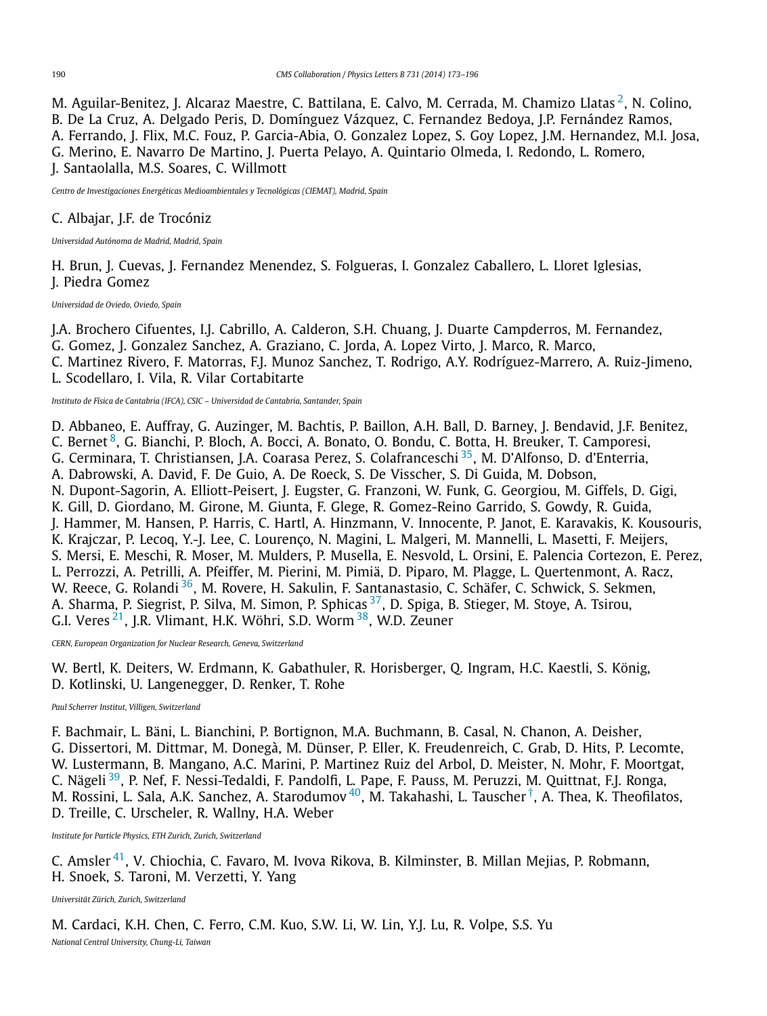M. Aguilar-Benitez, J. Alcaraz Maestre, C. Battilana, E. Calvo, M. Cerrada, M. Chamizo Llatas<sup>2</sup>. N. Colino. B. De La Cruz, A. Delgado Peris, D. Domínguez Vázquez, C. Fernandez Bedoya, J.P. Fernández Ramos, A. Ferrando, J. Flix, M.C. Fouz, P. Garcia-Abia, O. Gonzalez Lopez, S. Goy Lopez, J.M. Hernandez, M.I. Josa, G. Merino, E. Navarro De Martino, J. Puerta Pelayo, A. Quintario Olmeda, I. Redondo, L. Romero, J. Santaolalla, M.S. Soares, C. Willmott

*Centro de Investigaciones Energéticas Medioambientales y Tecnológicas (CIEMAT), Madrid, Spain*

#### C. Albajar, J.F. de Trocóniz

*Universidad Autónoma de Madrid, Madrid, Spain*

H. Brun, J. Cuevas, J. Fernandez Menendez, S. Folgueras, I. Gonzalez Caballero, L. Lloret Iglesias, J. Piedra Gomez

*Universidad de Oviedo, Oviedo, Spain*

J.A. Brochero Cifuentes, I.J. Cabrillo, A. Calderon, S.H. Chuang, J. Duarte Campderros, M. Fernandez, G. Gomez, J. Gonzalez Sanchez, A. Graziano, C. Jorda, A. Lopez Virto, J. Marco, R. Marco, C. Martinez Rivero, F. Matorras, F.J. Munoz Sanchez, T. Rodrigo, A.Y. Rodríguez-Marrero, A. Ruiz-Jimeno, L. Scodellaro, I. Vila, R. Vilar Cortabitarte

*Instituto de Física de Cantabria (IFCA), CSIC – Universidad de Cantabria, Santander, Spain*

D. Abbaneo, E. Auffray, G. Auzinger, M. Bachtis, P. Baillon, A.H. Ball, D. Barney, J. Bendavid, J.F. Benitez, C. Bernet [8,](#page-23-0) G. Bianchi, P. Bloch, A. Bocci, A. Bonato, O. Bondu, C. Botta, H. Breuker, T. Camporesi, G. Cerminara, T. Christiansen, J.A. Coarasa Perez, S. Colafranceschi [35,](#page-23-0) M. D'Alfonso, D. d'Enterria, A. Dabrowski, A. David, F. De Guio, A. De Roeck, S. De Visscher, S. Di Guida, M. Dobson, N. Dupont-Sagorin, A. Elliott-Peisert, J. Eugster, G. Franzoni, W. Funk, G. Georgiou, M. Giffels, D. Gigi, K. Gill, D. Giordano, M. Girone, M. Giunta, F. Glege, R. Gomez-Reino Garrido, S. Gowdy, R. Guida, J. Hammer, M. Hansen, P. Harris, C. Hartl, A. Hinzmann, V. Innocente, P. Janot, E. Karavakis, K. Kousouris, K. Krajczar, P. Lecoq, Y.-J. Lee, C. Lourenço, N. Magini, L. Malgeri, M. Mannelli, L. Masetti, F. Meijers, S. Mersi, E. Meschi, R. Moser, M. Mulders, P. Musella, E. Nesvold, L. Orsini, E. Palencia Cortezon, E. Perez, L. Perrozzi, A. Petrilli, A. Pfeiffer, M. Pierini, M. Pimiä, D. Piparo, M. Plagge, L. Quertenmont, A. Racz, W. Reece, G. Rolandi<sup>[36](#page-23-0)</sup>, M. Rovere, H. Sakulin, F. Santanastasio, C. Schäfer, C. Schwick, S. Sekmen, A. Sharma, P. Siegrist, P. Silva, M. Simon, P. Sphicas [37,](#page-23-0) D. Spiga, B. Stieger, M. Stoye, A. Tsirou, G.I. Veres<sup>[21](#page-23-0)</sup>, J.R. Vlimant, H.K. Wöhri, S.D. Worm<sup>38</sup>, W.D. Zeuner

*CERN, European Organization for Nuclear Research, Geneva, Switzerland*

W. Bertl, K. Deiters, W. Erdmann, K. Gabathuler, R. Horisberger, Q. Ingram, H.C. Kaestli, S. König, D. Kotlinski, U. Langenegger, D. Renker, T. Rohe

*Paul Scherrer Institut, Villigen, Switzerland*

F. Bachmair, L. Bäni, L. Bianchini, P. Bortignon, M.A. Buchmann, B. Casal, N. Chanon, A. Deisher, G. Dissertori, M. Dittmar, M. Donegà, M. Dünser, P. Eller, K. Freudenreich, C. Grab, D. Hits, P. Lecomte, W. Lustermann, B. Mangano, A.C. Marini, P. Martinez Ruiz del Arbol, D. Meister, N. Mohr, F. Moortgat, C. Nägeli <sup>39</sup>, P. Nef, F. Nessi-Tedaldi, F. Pandolfi, L. Pape, F. Pauss, M. Peruzzi, M. Quittnat, F.J. Ronga, M. Rossini, L. Sala, A.K. Sanchez, A. Starodumov [40,](#page-23-0) M. Takahashi, L. Tauscher [†,](#page-22-0) A. Thea, K. Theofilatos, D. Treille, C. Urscheler, R. Wallny, H.A. Weber

*Institute for Particle Physics, ETH Zurich, Zurich, Switzerland*

C. Amsler [41,](#page-23-0) V. Chiochia, C. Favaro, M. Ivova Rikova, B. Kilminster, B. Millan Mejias, P. Robmann, H. Snoek, S. Taroni, M. Verzetti, Y. Yang

*Universität Zürich, Zurich, Switzerland*

M. Cardaci, K.H. Chen, C. Ferro, C.M. Kuo, S.W. Li, W. Lin, Y.J. Lu, R. Volpe, S.S. Yu *National Central University, Chung-Li, Taiwan*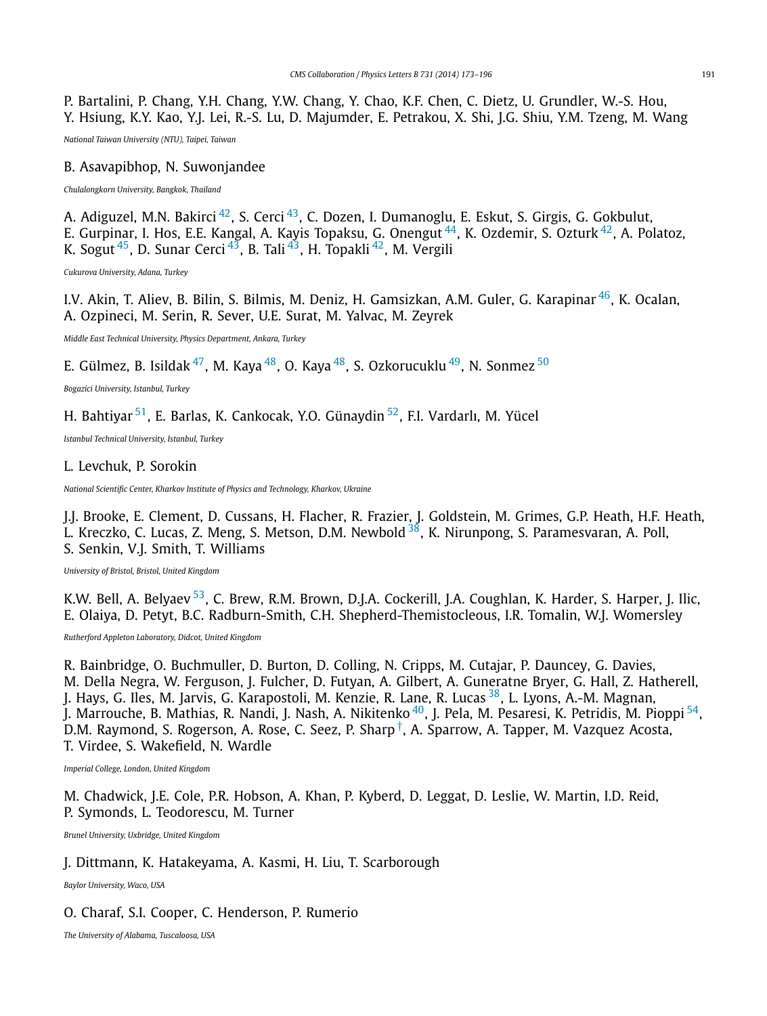P. Bartalini, P. Chang, Y.H. Chang, Y.W. Chang, Y. Chao, K.F. Chen, C. Dietz, U. Grundler, W.-S. Hou, Y. Hsiung, K.Y. Kao, Y.J. Lei, R.-S. Lu, D. Majumder, E. Petrakou, X. Shi, J.G. Shiu, Y.M. Tzeng, M. Wang

*National Taiwan University (NTU), Taipei, Taiwan*

### B. Asavapibhop, N. Suwonjandee

*Chulalongkorn University, Bangkok, Thailand*

A. Adiguzel, M.N. Bakirci [42,](#page-23-0) S. Cerci [43,](#page-23-0) C. Dozen, I. Dumanoglu, E. Eskut, S. Girgis, G. Gokbulut, E. Gurpinar, I. Hos, E.E. Kangal, A. Kayis Topaksu, G. Onengut [44,](#page-23-0) K. Ozdemir, S. Ozturk [42,](#page-23-0) A. Polatoz, K. Sogut  $45$ , D. Sunar Cerci  $43$ , B. Tali  $43$ , H. Topakli  $42$ , M. Vergili

*Cukurova University, Adana, Turkey*

I.V. Akin, T. Aliev, B. Bilin, S. Bilmis, M. Deniz, H. Gamsizkan, A.M. Guler, G. Karapinar <sup>46</sup>, K. Ocalan. A. Ozpineci, M. Serin, R. Sever, U.E. Surat, M. Yalvac, M. Zeyrek

*Middle East Technical University, Physics Department, Ankara, Turkey*

E. Gülmez, B. Isildak  $47$ , M. Kaya  $48$ , O. Kaya  $48$ , S. Ozkorucuklu  $49$ , N. Sonmez  $50$ 

*Bogazici University, Istanbul, Turkey*

H. Bahtiyar [51,](#page-23-0) E. Barlas, K. Cankocak, Y.O. Günaydin [52,](#page-23-0) F.I. Vardarlı, M. Yücel

*Istanbul Technical University, Istanbul, Turkey*

#### L. Levchuk, P. Sorokin

*National Scientific Center, Kharkov Institute of Physics and Technology, Kharkov, Ukraine*

J.J. Brooke, E. Clement, D. Cussans, H. Flacher, R. Frazier, J. Goldstein, M. Grimes, G.P. Heath, H.F. Heath, L. Kreczko, C. Lucas, Z. Meng, S. Metson, D.M. Newbold <sup>38</sup>, K. Nirunpong, S. Paramesvaran, A. Poll, S. Senkin, V.J. Smith, T. Williams

*University of Bristol, Bristol, United Kingdom*

K.W. Bell, A. Belyaev <sup>53</sup>, C. Brew, R.M. Brown, D.J.A. Cockerill, J.A. Coughlan, K. Harder, S. Harper, J. Ilic, E. Olaiya, D. Petyt, B.C. Radburn-Smith, C.H. Shepherd-Themistocleous, I.R. Tomalin, W.J. Womersley

*Rutherford Appleton Laboratory, Didcot, United Kingdom*

R. Bainbridge, O. Buchmuller, D. Burton, D. Colling, N. Cripps, M. Cutajar, P. Dauncey, G. Davies, M. Della Negra, W. Ferguson, J. Fulcher, D. Futyan, A. Gilbert, A. Guneratne Bryer, G. Hall, Z. Hatherell, J. Hays, G. Iles, M. Jarvis, G. Karapostoli, M. Kenzie, R. Lane, R. Lucas [38,](#page-23-0) L. Lyons, A.-M. Magnan, J. Marrouche, B. Mathias, R. Nandi, J. Nash, A. Nikitenko [40,](#page-23-0) J. Pela, M. Pesaresi, K. Petridis, M. Pioppi [54,](#page-23-0) D.M. Raymond, S. Rogerson, A. Rose, C. Seez, P. Sharp [†](#page-22-0), A. Sparrow, A. Tapper, M. Vazquez Acosta, T. Virdee, S. Wakefield, N. Wardle

*Imperial College, London, United Kingdom*

M. Chadwick, J.E. Cole, P.R. Hobson, A. Khan, P. Kyberd, D. Leggat, D. Leslie, W. Martin, I.D. Reid, P. Symonds, L. Teodorescu, M. Turner

*Brunel University, Uxbridge, United Kingdom*

J. Dittmann, K. Hatakeyama, A. Kasmi, H. Liu, T. Scarborough

*Baylor University, Waco, USA*

O. Charaf, S.I. Cooper, C. Henderson, P. Rumerio

*The University of Alabama, Tuscaloosa, USA*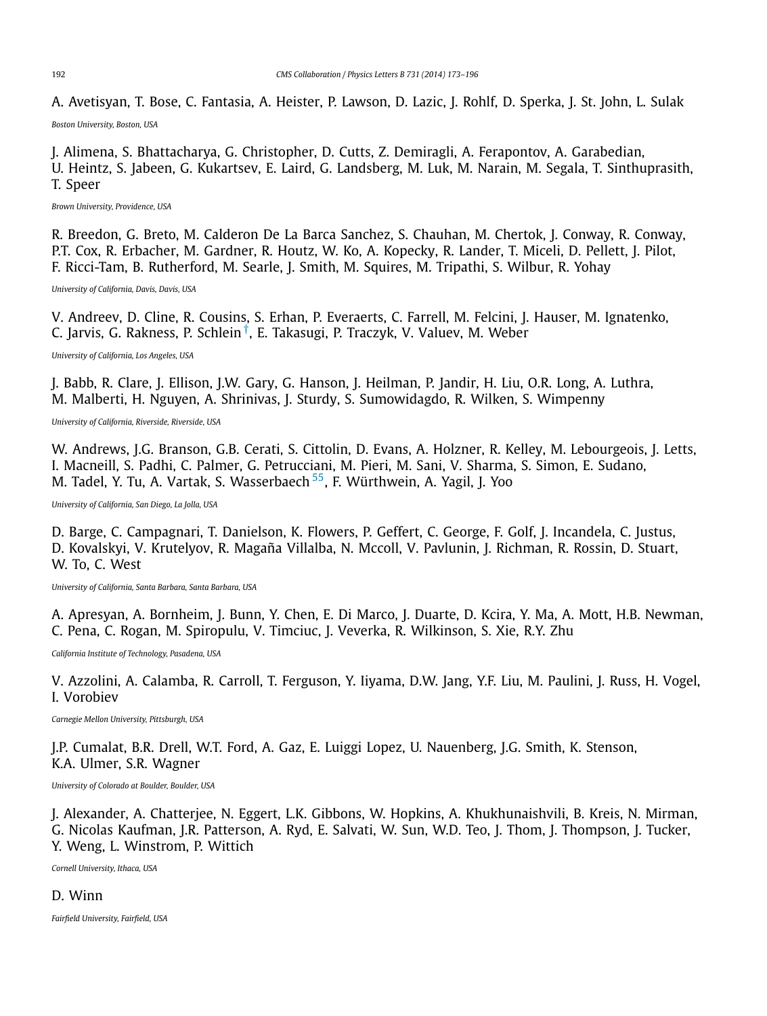A. Avetisyan, T. Bose, C. Fantasia, A. Heister, P. Lawson, D. Lazic, J. Rohlf, D. Sperka, J. St. John, L. Sulak

*Boston University, Boston, USA*

J. Alimena, S. Bhattacharya, G. Christopher, D. Cutts, Z. Demiragli, A. Ferapontov, A. Garabedian, U. Heintz, S. Jabeen, G. Kukartsev, E. Laird, G. Landsberg, M. Luk, M. Narain, M. Segala, T. Sinthuprasith, T. Speer

*Brown University, Providence, USA*

R. Breedon, G. Breto, M. Calderon De La Barca Sanchez, S. Chauhan, M. Chertok, J. Conway, R. Conway, P.T. Cox, R. Erbacher, M. Gardner, R. Houtz, W. Ko, A. Kopecky, R. Lander, T. Miceli, D. Pellett, J. Pilot, F. Ricci-Tam, B. Rutherford, M. Searle, J. Smith, M. Squires, M. Tripathi, S. Wilbur, R. Yohay

*University of California, Davis, Davis, USA*

V. Andreev, D. Cline, R. Cousins, S. Erhan, P. Everaerts, C. Farrell, M. Felcini, J. Hauser, M. Ignatenko, C. Jarvis, G. Rakness, P. Schlein  $^{\dagger}$ , E. Takasugi, P. Traczyk, V. Valuev, M. Weber

*University of California, Los Angeles, USA*

J. Babb, R. Clare, J. Ellison, J.W. Gary, G. Hanson, J. Heilman, P. Jandir, H. Liu, O.R. Long, A. Luthra, M. Malberti, H. Nguyen, A. Shrinivas, J. Sturdy, S. Sumowidagdo, R. Wilken, S. Wimpenny

*University of California, Riverside, Riverside, USA*

W. Andrews, J.G. Branson, G.B. Cerati, S. Cittolin, D. Evans, A. Holzner, R. Kelley, M. Lebourgeois, J. Letts, I. Macneill, S. Padhi, C. Palmer, G. Petrucciani, M. Pieri, M. Sani, V. Sharma, S. Simon, E. Sudano, M. Tadel, Y. Tu, A. Vartak, S. Wasserbaech [55,](#page-23-0) F. Würthwein, A. Yagil, J. Yoo

*University of California, San Diego, La Jolla, USA*

D. Barge, C. Campagnari, T. Danielson, K. Flowers, P. Geffert, C. George, F. Golf, J. Incandela, C. Justus, D. Kovalskyi, V. Krutelyov, R. Magaña Villalba, N. Mccoll, V. Pavlunin, J. Richman, R. Rossin, D. Stuart, W. To, C. West

*University of California, Santa Barbara, Santa Barbara, USA*

A. Apresyan, A. Bornheim, J. Bunn, Y. Chen, E. Di Marco, J. Duarte, D. Kcira, Y. Ma, A. Mott, H.B. Newman, C. Pena, C. Rogan, M. Spiropulu, V. Timciuc, J. Veverka, R. Wilkinson, S. Xie, R.Y. Zhu

*California Institute of Technology, Pasadena, USA*

V. Azzolini, A. Calamba, R. Carroll, T. Ferguson, Y. Iiyama, D.W. Jang, Y.F. Liu, M. Paulini, J. Russ, H. Vogel, I. Vorobiev

*Carnegie Mellon University, Pittsburgh, USA*

J.P. Cumalat, B.R. Drell, W.T. Ford, A. Gaz, E. Luiggi Lopez, U. Nauenberg, J.G. Smith, K. Stenson, K.A. Ulmer, S.R. Wagner

*University of Colorado at Boulder, Boulder, USA*

J. Alexander, A. Chatterjee, N. Eggert, L.K. Gibbons, W. Hopkins, A. Khukhunaishvili, B. Kreis, N. Mirman, G. Nicolas Kaufman, J.R. Patterson, A. Ryd, E. Salvati, W. Sun, W.D. Teo, J. Thom, J. Thompson, J. Tucker, Y. Weng, L. Winstrom, P. Wittich

*Cornell University, Ithaca, USA*

D. Winn

*Fairfield University, Fairfield, USA*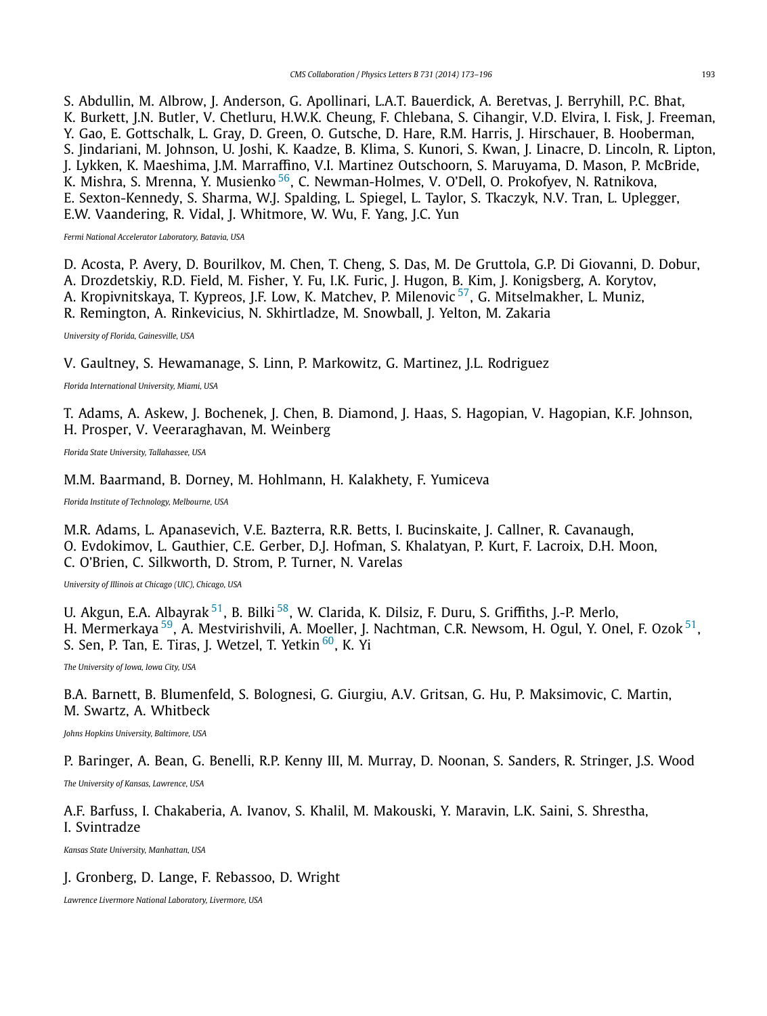S. Abdullin, M. Albrow, J. Anderson, G. Apollinari, L.A.T. Bauerdick, A. Beretvas, J. Berryhill, P.C. Bhat, K. Burkett, J.N. Butler, V. Chetluru, H.W.K. Cheung, F. Chlebana, S. Cihangir, V.D. Elvira, I. Fisk, J. Freeman, Y. Gao, E. Gottschalk, L. Gray, D. Green, O. Gutsche, D. Hare, R.M. Harris, J. Hirschauer, B. Hooberman, S. Jindariani, M. Johnson, U. Joshi, K. Kaadze, B. Klima, S. Kunori, S. Kwan, J. Linacre, D. Lincoln, R. Lipton, J. Lykken, K. Maeshima, J.M. Marraffino, V.I. Martinez Outschoorn, S. Maruyama, D. Mason, P. McBride, K. Mishra, S. Mrenna, Y. Musienko <sup>56</sup>, C. Newman-Holmes, V. O'Dell, O. Prokofyev, N. Ratnikova, E. Sexton-Kennedy, S. Sharma, W.J. Spalding, L. Spiegel, L. Taylor, S. Tkaczyk, N.V. Tran, L. Uplegger, E.W. Vaandering, R. Vidal, J. Whitmore, W. Wu, F. Yang, J.C. Yun

*Fermi National Accelerator Laboratory, Batavia, USA*

D. Acosta, P. Avery, D. Bourilkov, M. Chen, T. Cheng, S. Das, M. De Gruttola, G.P. Di Giovanni, D. Dobur, A. Drozdetskiy, R.D. Field, M. Fisher, Y. Fu, I.K. Furic, J. Hugon, B. Kim, J. Konigsberg, A. Korytov, A. Kropivnitskaya, T. Kypreos, J.F. Low, K. Matchev, P. Milenovic<sup>57</sup>, G. Mitselmakher, L. Muniz, R. Remington, A. Rinkevicius, N. Skhirtladze, M. Snowball, J. Yelton, M. Zakaria

*University of Florida, Gainesville, USA*

V. Gaultney, S. Hewamanage, S. Linn, P. Markowitz, G. Martinez, J.L. Rodriguez

*Florida International University, Miami, USA*

T. Adams, A. Askew, J. Bochenek, J. Chen, B. Diamond, J. Haas, S. Hagopian, V. Hagopian, K.F. Johnson, H. Prosper, V. Veeraraghavan, M. Weinberg

*Florida State University, Tallahassee, USA*

M.M. Baarmand, B. Dorney, M. Hohlmann, H. Kalakhety, F. Yumiceva

*Florida Institute of Technology, Melbourne, USA*

M.R. Adams, L. Apanasevich, V.E. Bazterra, R.R. Betts, I. Bucinskaite, J. Callner, R. Cavanaugh, O. Evdokimov, L. Gauthier, C.E. Gerber, D.J. Hofman, S. Khalatyan, P. Kurt, F. Lacroix, D.H. Moon, C. O'Brien, C. Silkworth, D. Strom, P. Turner, N. Varelas

*University of Illinois at Chicago (UIC), Chicago, USA*

U. Akgun, E.A. Albayrak <sup>51</sup>, B. Bilki <sup>58</sup>, W. Clarida, K. Dilsiz, F. Duru, S. Griffiths, J.-P. Merlo, H. Mermerkaya [59,](#page-23-0) A. Mestvirishvili, A. Moeller, J. Nachtman, C.R. Newsom, H. Ogul, Y. Onel, F. Ozok [51,](#page-23-0) S. Sen, P. Tan, E. Tiras, J. Wetzel, T. Yetkin <sup>60</sup>, K. Yi

*The University of Iowa, Iowa City, USA*

B.A. Barnett, B. Blumenfeld, S. Bolognesi, G. Giurgiu, A.V. Gritsan, G. Hu, P. Maksimovic, C. Martin, M. Swartz, A. Whitbeck

*Johns Hopkins University, Baltimore, USA*

P. Baringer, A. Bean, G. Benelli, R.P. Kenny III, M. Murray, D. Noonan, S. Sanders, R. Stringer, J.S. Wood

*The University of Kansas, Lawrence, USA*

A.F. Barfuss, I. Chakaberia, A. Ivanov, S. Khalil, M. Makouski, Y. Maravin, L.K. Saini, S. Shrestha, I. Svintradze

*Kansas State University, Manhattan, USA*

J. Gronberg, D. Lange, F. Rebassoo, D. Wright

*Lawrence Livermore National Laboratory, Livermore, USA*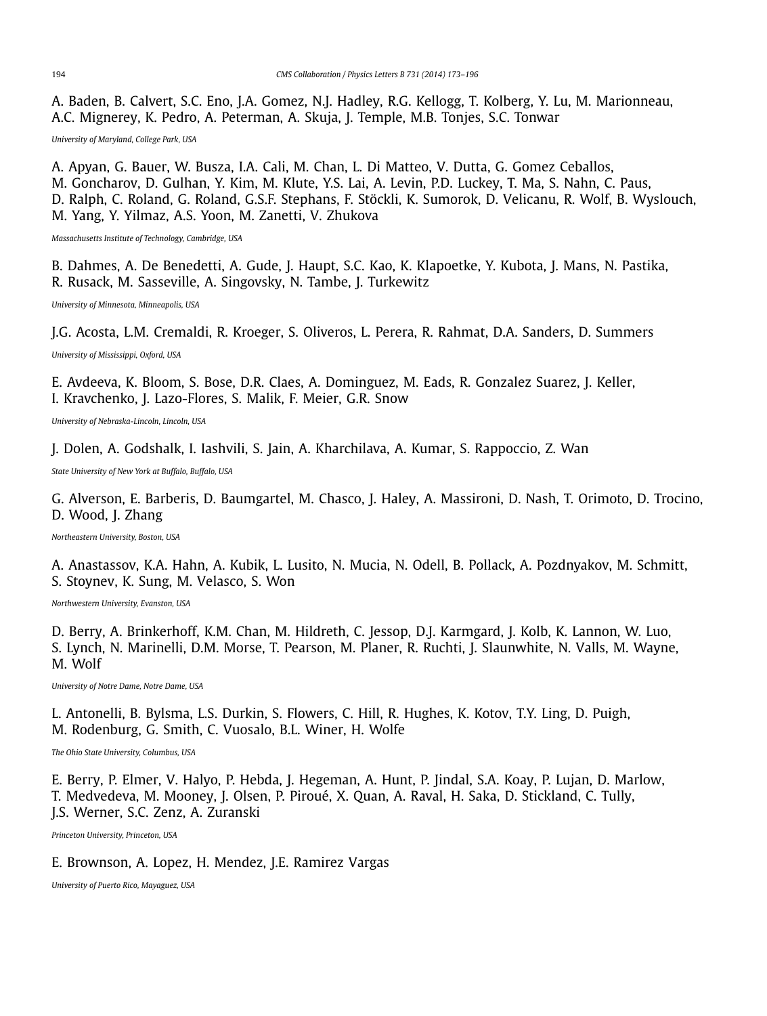A. Baden, B. Calvert, S.C. Eno, J.A. Gomez, N.J. Hadley, R.G. Kellogg, T. Kolberg, Y. Lu, M. Marionneau, A.C. Mignerey, K. Pedro, A. Peterman, A. Skuja, J. Temple, M.B. Tonjes, S.C. Tonwar

*University of Maryland, College Park, USA*

A. Apyan, G. Bauer, W. Busza, I.A. Cali, M. Chan, L. Di Matteo, V. Dutta, G. Gomez Ceballos, M. Goncharov, D. Gulhan, Y. Kim, M. Klute, Y.S. Lai, A. Levin, P.D. Luckey, T. Ma, S. Nahn, C. Paus, D. Ralph, C. Roland, G. Roland, G.S.F. Stephans, F. Stöckli, K. Sumorok, D. Velicanu, R. Wolf, B. Wyslouch, M. Yang, Y. Yilmaz, A.S. Yoon, M. Zanetti, V. Zhukova

*Massachusetts Institute of Technology, Cambridge, USA*

B. Dahmes, A. De Benedetti, A. Gude, J. Haupt, S.C. Kao, K. Klapoetke, Y. Kubota, J. Mans, N. Pastika, R. Rusack, M. Sasseville, A. Singovsky, N. Tambe, J. Turkewitz

*University of Minnesota, Minneapolis, USA*

J.G. Acosta, L.M. Cremaldi, R. Kroeger, S. Oliveros, L. Perera, R. Rahmat, D.A. Sanders, D. Summers *University of Mississippi, Oxford, USA*

E. Avdeeva, K. Bloom, S. Bose, D.R. Claes, A. Dominguez, M. Eads, R. Gonzalez Suarez, J. Keller, I. Kravchenko, J. Lazo-Flores, S. Malik, F. Meier, G.R. Snow

*University of Nebraska-Lincoln, Lincoln, USA*

J. Dolen, A. Godshalk, I. Iashvili, S. Jain, A. Kharchilava, A. Kumar, S. Rappoccio, Z. Wan

*State University of New York at Buffalo, Buffalo, USA*

G. Alverson, E. Barberis, D. Baumgartel, M. Chasco, J. Haley, A. Massironi, D. Nash, T. Orimoto, D. Trocino, D. Wood, J. Zhang

*Northeastern University, Boston, USA*

A. Anastassov, K.A. Hahn, A. Kubik, L. Lusito, N. Mucia, N. Odell, B. Pollack, A. Pozdnyakov, M. Schmitt, S. Stoynev, K. Sung, M. Velasco, S. Won

*Northwestern University, Evanston, USA*

D. Berry, A. Brinkerhoff, K.M. Chan, M. Hildreth, C. Jessop, D.J. Karmgard, J. Kolb, K. Lannon, W. Luo, S. Lynch, N. Marinelli, D.M. Morse, T. Pearson, M. Planer, R. Ruchti, J. Slaunwhite, N. Valls, M. Wayne, M. Wolf

*University of Notre Dame, Notre Dame, USA*

L. Antonelli, B. Bylsma, L.S. Durkin, S. Flowers, C. Hill, R. Hughes, K. Kotov, T.Y. Ling, D. Puigh, M. Rodenburg, G. Smith, C. Vuosalo, B.L. Winer, H. Wolfe

*The Ohio State University, Columbus, USA*

E. Berry, P. Elmer, V. Halyo, P. Hebda, J. Hegeman, A. Hunt, P. Jindal, S.A. Koay, P. Lujan, D. Marlow, T. Medvedeva, M. Mooney, J. Olsen, P. Piroué, X. Quan, A. Raval, H. Saka, D. Stickland, C. Tully, J.S. Werner, S.C. Zenz, A. Zuranski

*Princeton University, Princeton, USA*

E. Brownson, A. Lopez, H. Mendez, J.E. Ramirez Vargas

*University of Puerto Rico, Mayaguez, USA*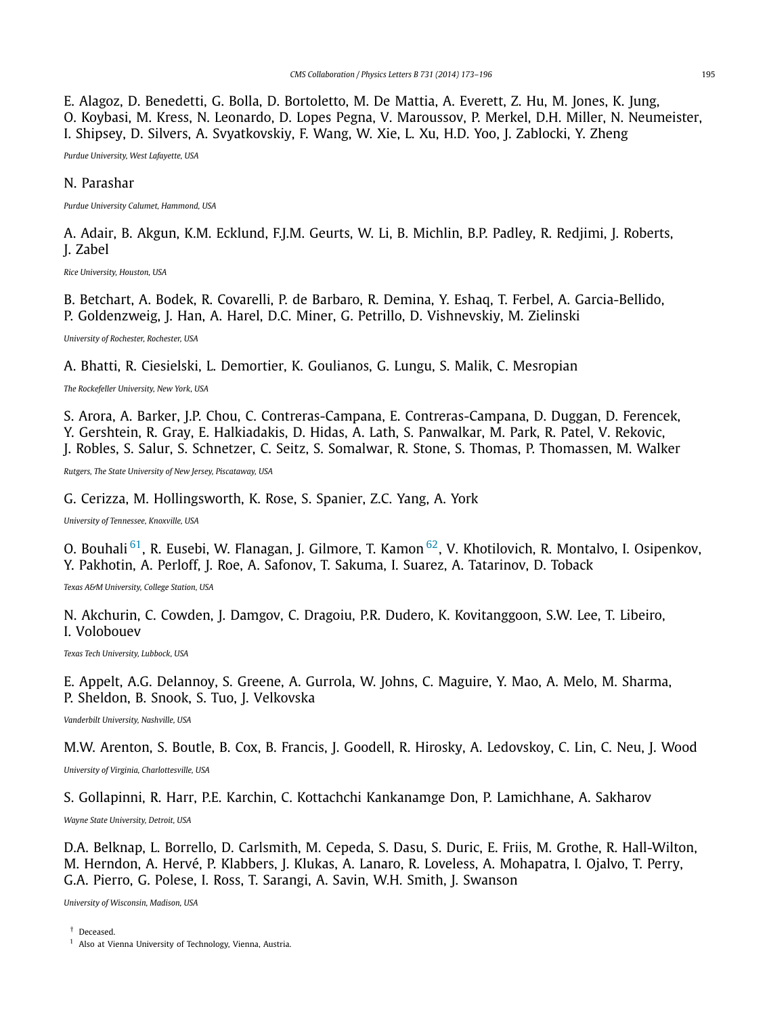<span id="page-22-0"></span>E. Alagoz, D. Benedetti, G. Bolla, D. Bortoletto, M. De Mattia, A. Everett, Z. Hu, M. Jones, K. Jung, O. Koybasi, M. Kress, N. Leonardo, D. Lopes Pegna, V. Maroussov, P. Merkel, D.H. Miller, N. Neumeister, I. Shipsey, D. Silvers, A. Svyatkovskiy, F. Wang, W. Xie, L. Xu, H.D. Yoo, J. Zablocki, Y. Zheng

*Purdue University, West Lafayette, USA*

### N. Parashar

*Purdue University Calumet, Hammond, USA*

A. Adair, B. Akgun, K.M. Ecklund, F.J.M. Geurts, W. Li, B. Michlin, B.P. Padley, R. Redjimi, J. Roberts, J. Zabel

*Rice University, Houston, USA*

B. Betchart, A. Bodek, R. Covarelli, P. de Barbaro, R. Demina, Y. Eshaq, T. Ferbel, A. Garcia-Bellido, P. Goldenzweig, J. Han, A. Harel, D.C. Miner, G. Petrillo, D. Vishnevskiy, M. Zielinski

*University of Rochester, Rochester, USA*

A. Bhatti, R. Ciesielski, L. Demortier, K. Goulianos, G. Lungu, S. Malik, C. Mesropian

*The Rockefeller University, New York, USA*

S. Arora, A. Barker, J.P. Chou, C. Contreras-Campana, E. Contreras-Campana, D. Duggan, D. Ferencek, Y. Gershtein, R. Gray, E. Halkiadakis, D. Hidas, A. Lath, S. Panwalkar, M. Park, R. Patel, V. Rekovic, J. Robles, S. Salur, S. Schnetzer, C. Seitz, S. Somalwar, R. Stone, S. Thomas, P. Thomassen, M. Walker

*Rutgers, The State University of New Jersey, Piscataway, USA*

G. Cerizza, M. Hollingsworth, K. Rose, S. Spanier, Z.C. Yang, A. York

*University of Tennessee, Knoxville, USA*

O. Bouhali <sup>[61](#page-23-0)</sup>, R. Eusebi, W. Flanagan, J. Gilmore, T. Kamon <sup>62</sup>, V. Khotilovich, R. Montalvo, I. Osipenkov, Y. Pakhotin, A. Perloff, J. Roe, A. Safonov, T. Sakuma, I. Suarez, A. Tatarinov, D. Toback

*Texas A&M University, College Station, USA*

N. Akchurin, C. Cowden, J. Damgov, C. Dragoiu, P.R. Dudero, K. Kovitanggoon, S.W. Lee, T. Libeiro, I. Volobouev

*Texas Tech University, Lubbock, USA*

E. Appelt, A.G. Delannoy, S. Greene, A. Gurrola, W. Johns, C. Maguire, Y. Mao, A. Melo, M. Sharma, P. Sheldon, B. Snook, S. Tuo, J. Velkovska

*Vanderbilt University, Nashville, USA*

M.W. Arenton, S. Boutle, B. Cox, B. Francis, J. Goodell, R. Hirosky, A. Ledovskoy, C. Lin, C. Neu, J. Wood

*University of Virginia, Charlottesville, USA*

S. Gollapinni, R. Harr, P.E. Karchin, C. Kottachchi Kankanamge Don, P. Lamichhane, A. Sakharov

*Wayne State University, Detroit, USA*

D.A. Belknap, L. Borrello, D. Carlsmith, M. Cepeda, S. Dasu, S. Duric, E. Friis, M. Grothe, R. Hall-Wilton, M. Herndon, A. Hervé, P. Klabbers, J. Klukas, A. Lanaro, R. Loveless, A. Mohapatra, I. Ojalvo, T. Perry, G.A. Pierro, G. Polese, I. Ross, T. Sarangi, A. Savin, W.H. Smith, J. Swanson

*University of Wisconsin, Madison, USA*

† Deceased.

<sup>1</sup> Also at Vienna University of Technology, Vienna, Austria.